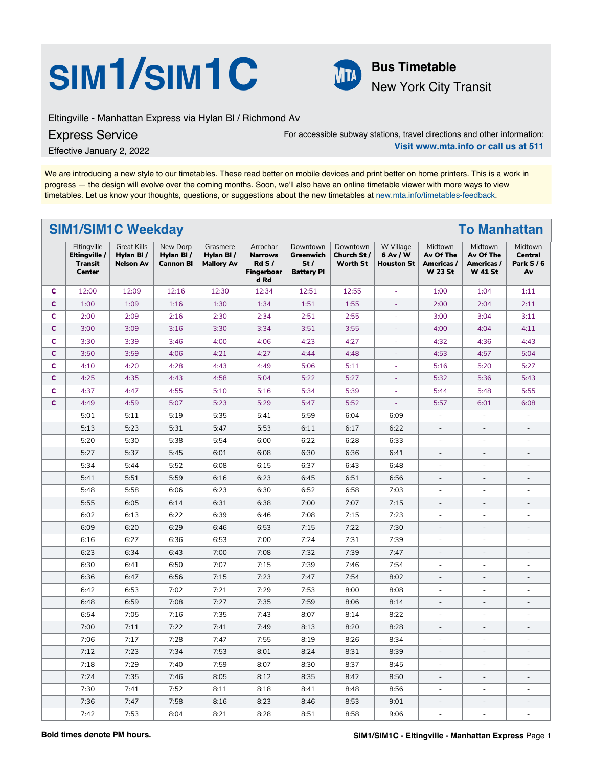# **SIM<sup>1</sup>/SIM<sup>1</sup>C Bus Timetable**



New York City Transit

Eltingville - Manhattan Express via Hylan Bl / Richmond Av

Express Service

For accessible subway stations, travel directions and other information: **Visit www.mta.info or call us at 511**

Effective January 2, 2022

We are introducing a new style to our timetables. These read better on mobile devices and print better on home printers. This is a work in progress — the design will evolve over the coming months. Soon, we'll also have an online timetable viewer with more ways to view timetables. Let us know your thoughts, questions, or suggestions about the new timetables at [new.mta.info/timetables-feedback](https://new.mta.info/timetables-feedback).

## **SIM1/SIM1C Weekday To Manhattan**

|              | Eltingville<br>Eltingville /<br><b>Transit</b><br><b>Center</b> | <b>Great Kills</b><br>Hylan BI /<br><b>Nelson Av</b> | New Dorp<br>Hylan BI/<br><b>Cannon BI</b> | Grasmere<br>Hylan BI/<br><b>Mallory Av</b> | Arrochar<br><b>Narrows</b><br>RdS/I<br>Fingerboar<br>d Rd | Downtown<br>Greenwich<br>St/<br><b>Battery PI</b> | Downtown<br>Church St /<br><b>Worth St</b> | W Village<br>6 Av / W<br><b>Houston St</b> | Midtown<br>Av Of The<br>Americas /<br><b>W 23 St</b> | Midtown<br>Av Of The<br>Americas /<br><b>W 41 St</b> | Midtown<br><b>Central</b><br>Park $S/6$<br>Av |
|--------------|-----------------------------------------------------------------|------------------------------------------------------|-------------------------------------------|--------------------------------------------|-----------------------------------------------------------|---------------------------------------------------|--------------------------------------------|--------------------------------------------|------------------------------------------------------|------------------------------------------------------|-----------------------------------------------|
| C            | 12:00                                                           | 12:09                                                | 12:16                                     | 12:30                                      | 12:34                                                     | 12:51                                             | 12:55                                      |                                            | 1:00                                                 | 1:04                                                 | 1:11                                          |
| $\mathbf{C}$ | 1:00                                                            | 1:09                                                 | 1:16                                      | 1:30                                       | 1:34                                                      | 1:51                                              | 1:55                                       | L.                                         | 2:00                                                 | 2:04                                                 | 2:11                                          |
| c            | 2:00                                                            | 2:09                                                 | 2:16                                      | 2:30                                       | 2:34                                                      | 2:51                                              | 2:55                                       | ä,                                         | 3:00                                                 | 3:04                                                 | 3:11                                          |
| C            | 3:00                                                            | 3:09                                                 | 3:16                                      | 3:30                                       | 3:34                                                      | 3:51                                              | 3:55                                       | $\omega$                                   | 4:00                                                 | 4:04                                                 | 4:11                                          |
| c            | 3:30                                                            | 3:39                                                 | 3:46                                      | 4:00                                       | 4:06                                                      | 4:23                                              | 4:27                                       | ä,                                         | 4:32                                                 | 4:36                                                 | 4:43                                          |
| $\mathbf c$  | 3:50                                                            | 3:59                                                 | 4:06                                      | 4:21                                       | 4:27                                                      | 4:44                                              | 4:48                                       | ÷                                          | 4:53                                                 | 4:57                                                 | 5:04                                          |
| c            | 4:10                                                            | 4:20                                                 | 4:28                                      | 4:43                                       | 4:49                                                      | 5:06                                              | 5:11                                       | $\bar{\phantom{a}}$                        | 5:16                                                 | 5:20                                                 | 5:27                                          |
| C            | 4:25                                                            | 4:35                                                 | 4:43                                      | 4:58                                       | 5:04                                                      | 5:22                                              | 5:27                                       | ÷,                                         | 5:32                                                 | 5:36                                                 | 5:43                                          |
| C            | 4:37                                                            | 4:47                                                 | 4:55                                      | 5:10                                       | 5:16                                                      | 5:34                                              | 5:39                                       |                                            | 5:44                                                 | 5:48                                                 | 5:55                                          |
| C            | 4:49                                                            | 4:59                                                 | 5:07                                      | 5:23                                       | 5:29                                                      | 5:47                                              | 5:52                                       | ä,                                         | 5:57                                                 | 6:01                                                 | 6:08                                          |
|              | 5:01                                                            | 5:11                                                 | 5:19                                      | 5:35                                       | 5:41                                                      | 5:59                                              | 6:04                                       | 6:09                                       | ×.                                                   | ÷                                                    | ÷                                             |
|              | 5:13                                                            | 5:23                                                 | 5:31                                      | 5:47                                       | 5:53                                                      | 6:11                                              | 6:17                                       | 6:22                                       | $\overline{a}$                                       |                                                      |                                               |
|              | 5:20                                                            | 5:30                                                 | 5:38                                      | 5:54                                       | 6:00                                                      | 6:22                                              | 6:28                                       | 6:33                                       |                                                      |                                                      |                                               |
|              | 5:27                                                            | 5:37                                                 | 5:45                                      | 6:01                                       | 6:08                                                      | 6:30                                              | 6:36                                       | 6:41                                       | $\overline{\phantom{a}}$                             | $\sim$                                               | $\overline{a}$                                |
|              | 5:34                                                            | 5:44                                                 | 5:52                                      | 6:08                                       | 6:15                                                      | 6:37                                              | 6:43                                       | 6:48                                       | $\overline{\phantom{a}}$                             | ÷.                                                   |                                               |
|              | 5:41                                                            | 5:51                                                 | 5:59                                      | 6:16                                       | 6:23                                                      | 6:45                                              | 6:51                                       | 6:56                                       | $\overline{\phantom{a}}$                             | $\overline{\phantom{a}}$                             |                                               |
|              | 5:48                                                            | 5:58                                                 | 6:06                                      | 6:23                                       | 6:30                                                      | 6:52                                              | 6:58                                       | 7:03                                       | $\sim$                                               | $\sim$                                               | $\overline{a}$                                |
|              | 5:55                                                            | 6:05                                                 | 6:14                                      | 6:31                                       | 6:38                                                      | 7:00                                              | 7:07                                       | 7:15                                       | $\overline{\phantom{a}}$                             | $\bar{ }$                                            | $\overline{\phantom{a}}$                      |
|              | 6:02                                                            | 6:13                                                 | 6:22                                      | 6:39                                       | 6:46                                                      | 7:08                                              | 7:15                                       | 7:23                                       | $\overline{\phantom{a}}$                             | $\overline{\phantom{a}}$                             | $\overline{a}$                                |
|              | 6:09                                                            | 6:20                                                 | 6:29                                      | 6:46                                       | 6:53                                                      | 7:15                                              | 7:22                                       | 7:30                                       | $\overline{\phantom{a}}$                             | $\overline{\phantom{a}}$                             | $\overline{\phantom{a}}$                      |
|              | 6:16                                                            | 6:27                                                 | 6:36                                      | 6:53                                       | 7:00                                                      | 7:24                                              | 7:31                                       | 7:39                                       | $\overline{\phantom{a}}$                             | $\overline{\phantom{a}}$                             | $\overline{\phantom{a}}$                      |
|              | 6:23                                                            | 6:34                                                 | 6:43                                      | 7:00                                       | 7:08                                                      | 7:32                                              | 7:39                                       | 7:47                                       | $\overline{a}$                                       | $\overline{a}$                                       |                                               |
|              | 6:30                                                            | 6:41                                                 | 6:50                                      | 7:07                                       | 7:15                                                      | 7:39                                              | 7:46                                       | 7:54                                       | ×.                                                   | $\sim$                                               | ä,                                            |
|              | 6:36                                                            | 6:47                                                 | 6:56                                      | 7:15                                       | 7:23                                                      | 7:47                                              | 7:54                                       | 8:02                                       | $\overline{a}$                                       | $\overline{\phantom{a}}$                             |                                               |
|              | 6:42                                                            | 6:53                                                 | 7:02                                      | 7:21                                       | 7:29                                                      | 7:53                                              | 8:00                                       | 8:08                                       | ä,                                                   | ÷                                                    | $\overline{\phantom{a}}$                      |
|              | 6:48                                                            | 6:59                                                 | 7:08                                      | 7:27                                       | 7:35                                                      | 7:59                                              | 8:06                                       | 8:14                                       | $\overline{a}$                                       | $\overline{\phantom{a}}$                             |                                               |
|              | 6:54                                                            | 7:05                                                 | 7:16                                      | 7:35                                       | 7:43                                                      | 8:07                                              | 8:14                                       | 8:22                                       |                                                      |                                                      |                                               |
|              | 7:00                                                            | 7:11                                                 | 7:22                                      | 7:41                                       | 7:49                                                      | 8:13                                              | 8:20                                       | 8:28                                       | $\overline{\phantom{a}}$                             | $\overline{\phantom{a}}$                             | $\overline{a}$                                |
|              | 7:06                                                            | 7:17                                                 | 7:28                                      | 7:47                                       | 7:55                                                      | 8:19                                              | 8:26                                       | 8:34                                       | $\sim$                                               | ÷.                                                   |                                               |
|              | 7:12                                                            | 7:23                                                 | 7:34                                      | 7:53                                       | 8:01                                                      | 8:24                                              | 8:31                                       | 8:39                                       | $\overline{\phantom{a}}$                             | $\overline{\phantom{a}}$                             |                                               |
|              | 7:18                                                            | 7:29                                                 | 7:40                                      | 7:59                                       | 8:07                                                      | 8:30                                              | 8:37                                       | 8:45                                       | $\overline{\phantom{a}}$                             | $\overline{\phantom{a}}$                             | ÷.                                            |
|              | 7:24                                                            | 7:35                                                 | 7:46                                      | 8:05                                       | 8:12                                                      | 8:35                                              | 8:42                                       | 8:50                                       | $\overline{\phantom{a}}$                             | $\overline{\phantom{a}}$                             | $\overline{\phantom{a}}$                      |
|              | 7:30                                                            | 7:41                                                 | 7:52                                      | 8:11                                       | 8:18                                                      | 8:41                                              | 8:48                                       | 8:56                                       | $\overline{\phantom{a}}$                             | $\overline{\phantom{a}}$                             | ÷.                                            |
|              | 7:36                                                            | 7:47                                                 | 7:58                                      | 8:16                                       | 8:23                                                      | 8:46                                              | 8:53                                       | 9:01                                       | $\overline{\phantom{a}}$                             | $\overline{\phantom{a}}$                             |                                               |
|              | 7:42                                                            | 7:53                                                 | 8:04                                      | 8:21                                       | 8:28                                                      | 8:51                                              | 8:58                                       | 9:06                                       | $\sim$                                               | ×.                                                   | ÷                                             |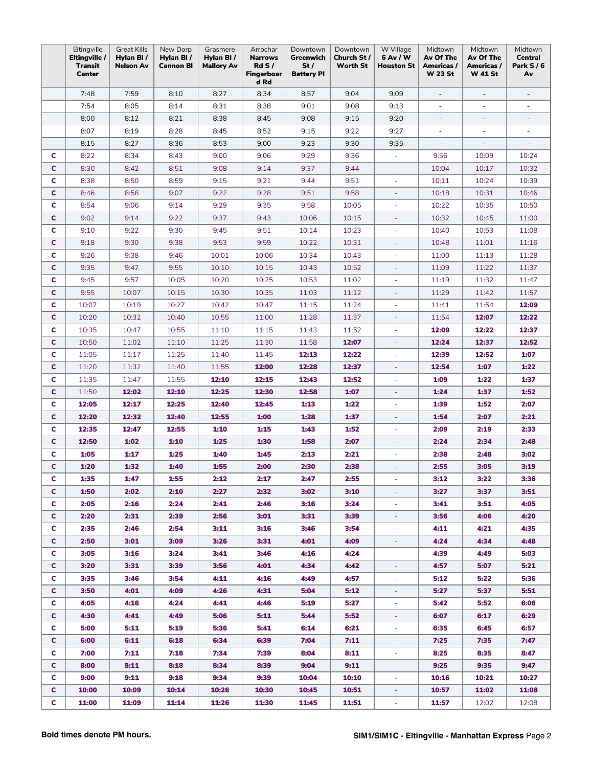|    | Eltingville<br>Eltingville / | <b>Great Kills</b><br>Hylan BI/ | New Dorp<br>Hylan BI/ | Grasmere<br>Hylan BI/ | Arrochar<br><b>Narrows</b> | Downtown<br>Greenwich    | Downtown<br>Church St / | W Village<br>6 Av / W    | Midtown<br>Av Of The         | Midtown<br>Av Of The         | Midtown<br><b>Central</b> |
|----|------------------------------|---------------------------------|-----------------------|-----------------------|----------------------------|--------------------------|-------------------------|--------------------------|------------------------------|------------------------------|---------------------------|
|    | Transit<br><b>Center</b>     | <b>Nelson Av</b>                | <b>Cannon BI</b>      | <b>Mallory Av</b>     | RdS/<br>Fingerboar<br>d Rd | St/<br><b>Battery PI</b> | Worth St                | <b>Houston St</b>        | Americas /<br><b>W 23 St</b> | Americas /<br><b>W 41 St</b> | <b>Park S/6</b><br>Av     |
|    | 7:48                         | 7:59                            | 8:10                  | 8:27                  | 8:34                       | 8:57                     | 9:04                    | 9:09                     | $\blacksquare$               | $\overline{\phantom{a}}$     | $\overline{\phantom{a}}$  |
|    | 7:54                         | 8:05                            | 8:14                  | 8:31                  | 8:38                       | 9:01                     | 9:08                    | 9:13                     | ÷,                           | $\overline{\phantom{a}}$     | ÷,                        |
|    | 8:00                         | 8:12                            | 8:21                  | 8:38                  | 8:45                       | 9:08                     | 9:15                    | 9:20                     | $\overline{a}$               | ÷,                           | $\overline{\phantom{a}}$  |
|    | 8:07                         | 8:19                            | 8:28                  | 8:45                  | 8:52                       | 9:15                     | 9:22                    | 9:27                     |                              | $\overline{\phantom{a}}$     |                           |
|    | 8:15                         | 8:27                            | 8:36                  | 8:53                  | 9:00                       | 9:23                     | 9:30                    | 9:35                     |                              | ÷                            |                           |
| с  | 8:22                         | 8:34                            | 8:43                  | 9:00                  | 9:06                       | 9:29                     | 9:36                    |                          | 9:56                         | 10:09                        | 10:24                     |
| c  | 8:30                         | 8:42                            | 8:51                  | 9:08                  | 9:14                       | 9:37                     | 9:44                    | $\equiv$                 | 10:04                        | 10:17                        | 10:32                     |
| c  | 8:38                         | 8:50                            | 8:59                  | 9:15                  | 9:21                       | 9:44                     | 9:51                    | $\omega$                 | 10:11                        | 10:24                        | 10:39                     |
| c  | 8:46                         | 8:58                            | 9:07                  | 9:22                  | 9:28                       | 9:51                     | 9:58                    | ÷                        | 10:18                        | 10:31                        | 10:46                     |
| c  | 8:54                         | 9:06                            | 9:14                  | 9:29                  | 9:35                       | 9:58                     | 10:05                   | $\omega$                 | 10:22                        | 10:35                        | 10:50                     |
| c  | 9:02                         | 9:14                            | 9:22                  | 9:37                  | 9:43                       | 10:06                    | 10:15                   |                          | 10:32                        | 10:45                        | 11:00                     |
| c  | 9:10                         | 9:22                            | 9:30                  | 9:45                  | 9:51                       | 10:14                    | 10:23                   | ÷,                       | 10:40                        | 10:53                        | 11:08                     |
| c  | 9:18                         | 9:30                            | 9:38                  | 9:53                  | 9:59                       | 10:22                    | 10:31                   | ÷                        | 10:48                        | 11:01                        | 11:16                     |
| c  | 9:26                         | 9:38                            | 9:46                  | 10:01                 | 10:06                      | 10:34                    | 10:43                   | ÷                        | 11:00                        | 11:13                        | 11:28                     |
| c  | 9:35                         | 9:47                            | 9:55                  | 10:10                 | 10:15                      | 10:43                    | 10:52                   | $\overline{\phantom{a}}$ | 11:09                        | 11:22                        | 11:37                     |
| c  | 9:45                         | 9:57                            | 10:05                 | 10:20                 | 10:25                      | 10:53                    | 11:02                   | $\overline{\phantom{a}}$ | 11:19                        | 11:32                        | 11:47                     |
| c  | 9:55                         | 10:07                           | 10:15                 | 10:30                 | 10:35                      | 11:03                    | 11:12                   | $\equiv$                 | 11:29                        | 11:42                        | 11:57                     |
| c  | 10:07                        | 10:19                           | 10:27                 | 10:42                 | 10:47                      | 11:15                    | 11:24                   |                          | 11:41                        | 11:54                        | 12:09                     |
| c  | 10:20                        | 10:32                           | 10:40                 | 10:55                 | 11:00                      | 11:28                    | 11:37                   |                          | 11:54                        | 12:07                        | 12:22                     |
| c  | 10:35                        | 10:47                           | 10:55                 | 11:10                 | 11:15                      | 11:43                    | 11:52                   |                          | 12:09                        | 12:22                        | 12:37                     |
| c  | 10:50                        | 11:02                           | 11:10                 | 11:25                 | 11:30                      | 11:58                    | 12:07                   | $\equiv$                 | 12:24                        | 12:37                        | 12:52                     |
| c  | 11:05                        | 11:17                           | 11:25                 | 11:40                 | 11:45                      | 12:13                    | 12:22                   | $\overline{\phantom{a}}$ | 12:39                        | 12:52                        | 1:07                      |
| C  | 11:20                        | 11:32                           | 11:40                 | 11:55                 | 12:00                      | 12:28                    | 12:37                   | $\equiv$                 | 12:54                        | 1:07                         | 1:22                      |
| c  | 11:35                        | 11:47                           | 11:55                 | 12:10                 | 12:15                      | 12:43                    | 12:52                   |                          | 1:09                         | 1:22                         | 1:37                      |
| c  | 11:50                        | 12:02                           | 12:10                 | 12:25                 | 12:30                      | 12:58                    | 1:07                    |                          | 1:24                         | 1:37                         | 1:52                      |
| c  | 12:05                        | 12:17                           | 12:25                 | 12:40                 | 12:45                      | 1:13                     | 1:22                    | ٠                        | 1:39                         | 1:52                         | 2:07                      |
| c  | 12:20                        | 12:32                           | 12:40                 | 12:55                 | 1:00                       | 1:28                     | 1:37                    |                          | 1:54                         | 2:07                         | 2:21                      |
| c  | 12:35                        | 12:47                           | 12:55                 | 1:10                  | 1:15                       | 1:43                     | 1:52                    | $\overline{\phantom{a}}$ | 2:09                         | 2:19                         | 2:33                      |
| c  | 12:50                        | 1:02                            | 1:10                  | 1:25                  | 1:30                       | 1:58                     | 2:07                    | $\overline{\phantom{a}}$ | 2:24                         | 2:34                         | 2:48                      |
| c  | 1:05                         | 1:17                            | 1:25                  | 1:40                  | 1:45                       | 2:13                     | 2:21                    | $\overline{\phantom{a}}$ | 2:38                         | 2:48                         | 3:02                      |
| c  | 1:20                         | 1:32                            | 1:40                  | 1:55                  | 2:00                       | 2:30                     | 2:38                    | ä,                       | 2:55                         | 3:05                         | 3:19                      |
| c  | 1:35                         | 1:47                            | 1:55                  | 2:12                  | 2:17                       | 2:47                     | 2:55                    |                          | 3:12                         | 3:22                         | 3:36                      |
| c. | 1:50                         | 2:02                            | 2:10                  | 2:27                  | 2:32                       | 3:02                     | 3:10                    |                          | 3:27                         | 3:37                         | 3:51                      |
| c. | 2:05                         | 2:16                            | 2:24                  | 2:41                  | 2:46                       | 3:16                     | 3:24                    |                          | 3:41                         | 3:51                         | 4:05                      |
| C  | 2:20                         | 2:31                            | 2:39                  | 2:56                  | 3:01                       | 3:31                     | 3:39                    | ÷                        | 3:56                         | 4:06                         | 4:20                      |
| C  | 2:35                         | 2:46                            | 2:54                  | 3:11                  | 3:16                       | 3:46                     | 3:54                    | ٠                        | 4:11                         | 4:21                         | 4:35                      |
| C. | 2:50                         | 3:01                            | 3:09                  | 3:26                  | 3:31                       | 4:01                     | 4:09                    | $\equiv$                 | 4:24                         | 4:34                         | 4:48                      |
| C  | 3:05                         | 3:16                            | 3:24                  | 3:41                  | 3:46                       | 4:16                     | 4:24                    | ÷                        | 4:39                         | 4:49                         | 5:03                      |
| C. | 3:20                         | 3:31                            | 3:39                  | 3:56                  | 4:01                       | 4:34                     | 4:42                    |                          | 4:57                         | 5:07                         | 5:21                      |
| C  | 3:35                         | 3:46                            | 3:54                  | 4:11                  | 4:16                       | 4:49                     | 4:57                    |                          | 5:12                         | 5:22                         | 5:36                      |
| C. | 3:50                         | 4:01                            | 4:09                  | 4:26                  | 4:31                       | 5:04                     | 5:12                    |                          | 5:27                         | 5:37                         | 5:51                      |
| C  | 4:05                         | 4:16                            | 4:24                  | 4:41                  | 4:46                       | 5:19                     | 5:27                    |                          | 5:42                         | 5:52                         | 6:06                      |
| C. | 4:30                         | 4:41                            | 4:49                  | 5:06                  | 5:11                       | 5:44                     | 5:52                    | ٠                        | 6:07                         | 6:17                         | 6:29                      |
| C  | 5:00                         | 5:11                            | 5:19                  | 5:36                  | 5:41                       | 6:14                     | 6:21                    | ÷<br>÷                   | 6:35                         | 6:45                         | 6:57                      |
| C. | 6:00                         | 6:11                            | 6:18                  | 6:34                  | 6:39                       | 7:04                     | 7:11                    |                          | 7:25                         | 7:35                         | 7:47                      |
| C  | 7:00                         | 7:11                            | 7:18                  | 7:34                  | 7:39                       | 8:04                     | 8:11                    |                          | 8:25                         | 8:35                         | 8:47                      |
| C. | 8:00                         | 8:11                            | 8:18                  | 8:34                  | 8:39                       | 9:04                     | 9:11                    |                          | 9:25                         | 9:35                         | 9:47                      |
| C  | 9:00                         | 9:11                            | 9:18                  | 9:34                  | 9:39                       | 10:04                    | 10:10                   |                          | 10:16                        | 10:21                        | 10:27                     |
| c. | 10:00                        | 10:09                           | 10:14                 | 10:26                 | 10:30                      | 10:45                    | 10:51                   |                          | 10:57                        | 11:02                        | 11:08                     |
| C  | 11:00                        | 11:09                           | 11:14                 | 11:26                 | 11:30                      | 11:45                    | 11:51                   | ÷                        | 11:57                        | 12:02                        | 12:08                     |
|    |                              |                                 |                       |                       |                            |                          |                         | ÷                        |                              |                              |                           |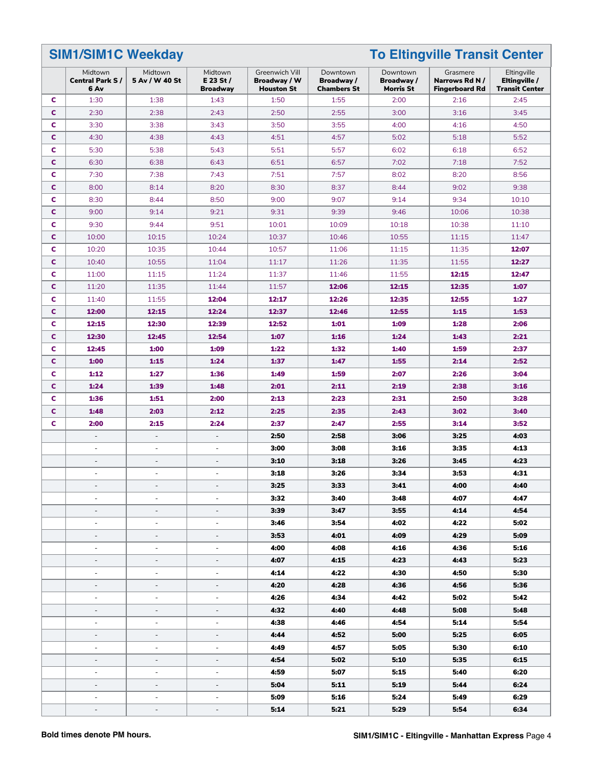**SIM1/SIM1C Weekday To Eltingville Transit Center**

|             | Midtown<br><b>Central Park S/</b><br>6 Av | Midtown<br>5 Av / W 40 St    | Midtown<br>$E$ 23 St /<br><b>Broadway</b> | Greenwich Vill<br>Broadway / W<br><b>Houston St</b> | Downtown<br>Broadway/<br><b>Chambers St</b> | Downtown<br>Broadway /<br><b>Morris St</b> | Grasmere<br>Narrows Rd N /<br><b>Fingerboard Rd</b> | Eltingville<br>Eltingville /<br><b>Transit Center</b> |
|-------------|-------------------------------------------|------------------------------|-------------------------------------------|-----------------------------------------------------|---------------------------------------------|--------------------------------------------|-----------------------------------------------------|-------------------------------------------------------|
| C           | 1:30                                      | 1:38                         | 1:43                                      | 1:50                                                | 1:55                                        | 2:00                                       | 2:16                                                | 2:45                                                  |
| C           | 2:30                                      | 2:38                         | 2:43                                      | 2:50                                                | 2:55                                        | 3:00                                       | 3:16                                                | 3:45                                                  |
| c           | 3:30                                      | 3:38                         | 3:43                                      | 3:50                                                | 3:55                                        | 4:00                                       | 4:16                                                | 4:50                                                  |
| C           | 4:30                                      | 4:38                         | 4:43                                      | 4:51                                                | 4:57                                        | 5:02                                       | 5:18                                                | 5:52                                                  |
| c           | 5:30                                      | 5:38                         | 5:43                                      | 5:51                                                | 5:57                                        | 6:02                                       | 6:18                                                | 6:52                                                  |
| $\mathbf c$ | 6:30                                      | 6:38                         | 6:43                                      | 6:51                                                | 6:57                                        | 7:02                                       | 7:18                                                | 7:52                                                  |
| c           | 7:30                                      | 7:38                         | 7:43                                      | 7:51                                                | 7:57                                        | 8:02                                       | 8:20                                                | 8:56                                                  |
| c           | 8:00                                      | 8:14                         | 8:20                                      | 8:30                                                | 8:37                                        | 8:44                                       | 9:02                                                | 9:38                                                  |
| c           | 8:30                                      | 8:44                         | 8:50                                      | 9:00                                                | 9:07                                        | 9:14                                       | 9:34                                                | 10:10                                                 |
| C           | 9:00                                      | 9:14                         | 9:21                                      | 9:31                                                | 9:39                                        | 9:46                                       | 10:06                                               | 10:38                                                 |
| c           | 9:30                                      | 9:44                         | 9:51                                      | 10:01                                               | 10:09                                       | 10:18                                      | 10:38                                               | 11:10                                                 |
| C           | 10:00                                     | 10:15                        | 10:24                                     | 10:37                                               | 10:46                                       | 10:55                                      | 11:15                                               | 11:47                                                 |
| c           | 10:20                                     | 10:35                        | 10:44                                     | 10:57                                               | 11:06                                       | 11:15                                      | 11:35                                               | 12:07                                                 |
| C           | 10:40                                     | 10:55                        | 11:04                                     | 11:17                                               | 11:26                                       | 11:35                                      | 11:55                                               | 12:27                                                 |
| c           | 11:00                                     | 11:15                        | 11:24                                     | 11:37                                               | 11:46                                       | 11:55                                      | 12:15                                               | 12:47                                                 |
| C           | 11:20                                     | 11:35                        | 11:44                                     | 11:57                                               | 12:06                                       | 12:15                                      | 12:35                                               | 1:07                                                  |
| c           | 11:40                                     | 11:55                        | 12:04                                     | 12:17                                               | 12:26                                       | 12:35                                      | 12:55                                               | 1:27                                                  |
| C           | 12:00                                     | 12:15                        | 12:24                                     | 12:37                                               | 12:46                                       | 12:55                                      | 1:15                                                | 1:53                                                  |
| c           | 12:15                                     | 12:30                        | 12:39                                     | 12:52                                               | 1:01                                        | 1:09                                       | 1:28                                                | 2:06                                                  |
| $\mathbf c$ | 12:30                                     | 12:45                        | 12:54                                     | 1:07                                                | 1:16                                        | 1:24                                       | 1:43                                                | 2:21                                                  |
| c           | 12:45                                     | 1:00                         | 1:09                                      | 1:22                                                | 1:32                                        | 1:40                                       | 1:59                                                | 2:37                                                  |
| $\mathbf c$ | 1:00                                      | 1:15                         | 1:24                                      | 1:37                                                | 1:47                                        | 1:55                                       | 2:14                                                | 2:52                                                  |
| c           | 1:12                                      | 1:27                         | 1:36                                      | 1:49                                                | 1:59                                        | 2:07                                       | 2:26                                                | 3:04                                                  |
| C           | 1:24                                      | 1:39                         | 1:48                                      | 2:01                                                | 2:11                                        | 2:19                                       | 2:38                                                | 3:16                                                  |
| c           | 1:36                                      | 1:51                         | 2:00                                      | 2:13                                                | 2:23                                        | 2:31                                       | 2:50                                                | 3:28                                                  |
| c           | 1:48                                      | 2:03                         | 2:12                                      | 2:25                                                | 2:35                                        | 2:43                                       | 3:02                                                | 3:40                                                  |
| c           | 2:00                                      | 2:15                         | 2:24                                      | 2:37                                                | 2:47                                        | 2:55                                       | 3:14                                                | 3:52                                                  |
|             | $\overline{\phantom{a}}$                  | $\overline{\phantom{a}}$     | $\overline{\phantom{a}}$                  | 2:50                                                | 2:58                                        | 3:06                                       | 3:25                                                | 4:03                                                  |
|             | $\overline{\phantom{a}}$                  | $\overline{\phantom{a}}$     | $\overline{\phantom{a}}$                  | 3:00                                                | 3:08                                        | 3:16                                       | 3:35                                                | 4:13                                                  |
|             | $\overline{\phantom{a}}$                  | $\overline{\phantom{a}}$     | $\overline{a}$                            | 3:10                                                | 3:18                                        | 3:26                                       | 3:45                                                | 4:23                                                  |
|             | $\overline{\phantom{a}}$                  | $\overline{\phantom{a}}$     | ÷,                                        | 3:18                                                | 3:26                                        | 3:34                                       | 3:53                                                | 4:31                                                  |
|             | $\overline{\phantom{a}}$                  | $\overline{\phantom{a}}$     | $\overline{\phantom{a}}$                  | 3:25                                                | 3:33                                        | 3:41                                       | 4:00                                                | 4:40                                                  |
|             |                                           |                              |                                           | 3:32                                                | 3:40                                        | 3:48                                       | 4:07                                                | 4:47                                                  |
|             | $\overline{a}$                            |                              |                                           | 3:39                                                | 3:47                                        | 3:55                                       | 4:14                                                | 4:54                                                  |
|             | ä,                                        | $\sim$                       | ÷.                                        | 3:46                                                | 3:54                                        | 4:02                                       | 4:22                                                | 5:02                                                  |
|             | $\overline{\phantom{a}}$                  | $\overline{\phantom{a}}$     | $\bar{ }$                                 | 3:53                                                | 4:01                                        | 4:09                                       | 4:29                                                | 5:09                                                  |
|             | $\overline{\phantom{a}}$                  | $\overline{\phantom{a}}$     | ÷,                                        | 4:00                                                | 4:08                                        | 4:16                                       | 4:36                                                | 5:16                                                  |
|             | $\overline{\phantom{0}}$                  | $\qquad \qquad \blacksquare$ |                                           | 4:07                                                | 4:15                                        | 4:23                                       | 4:43                                                | 5:23                                                  |
|             | $\overline{\phantom{a}}$                  | $\overline{\phantom{a}}$     | $\overline{\phantom{a}}$                  | 4:14                                                | 4:22                                        | 4:30                                       | 4:50                                                | 5:30                                                  |
|             | $\overline{\phantom{a}}$                  | $\overline{\phantom{a}}$     | $\overline{\phantom{a}}$                  | 4:20                                                | 4:28                                        | 4:36                                       | 4:56                                                | 5:36                                                  |
|             | $\overline{\phantom{a}}$                  | $\overline{\phantom{a}}$     | ÷                                         | 4:26                                                | 4:34                                        | 4:42                                       | 5:02                                                | 5:42                                                  |
|             |                                           |                              |                                           |                                                     |                                             |                                            |                                                     |                                                       |
|             | $\overline{\phantom{0}}$                  | $\overline{\phantom{a}}$     | $\overline{\phantom{m}}$                  | 4:32                                                | 4:40                                        | 4:48                                       | 5:08                                                | 5:48                                                  |
|             | $\overline{\phantom{a}}$                  | $\overline{\phantom{a}}$     | ÷                                         | 4:38                                                | 4:46                                        | 4:54                                       | 5:14                                                | 5:54                                                  |
|             | $\overline{\phantom{a}}$                  | $\sim$                       | ÷                                         | 4:44                                                | 4:52                                        | 5:00                                       | 5:25                                                | 6:05                                                  |
|             | $\overline{\phantom{a}}$                  | $\overline{\phantom{m}}$     | ÷                                         | 4:49                                                | 4:57                                        | 5:05                                       | 5:30                                                | 6:10                                                  |
|             | $\overline{\phantom{a}}$                  | $\overline{\phantom{a}}$     | $\overline{\phantom{a}}$                  | 4:54                                                | 5:02                                        | 5:10                                       | 5:35                                                | 6:15                                                  |
|             | $\overline{\phantom{a}}$                  | $\overline{\phantom{a}}$     | $\overline{\phantom{a}}$                  | 4:59                                                | 5:07                                        | 5:15                                       | 5:40                                                | 6:20                                                  |
|             | $\overline{a}$                            | $\overline{\phantom{a}}$     | $\overline{a}$                            | 5:04                                                | 5:11                                        | 5:19                                       | 5:44                                                | 6:24                                                  |
|             | ٠                                         | $\sim$                       | ÷.                                        | 5:09                                                | 5:16                                        | 5:24                                       | 5:49                                                | 6:29                                                  |
|             | $\overline{\phantom{a}}$                  |                              |                                           | 5:14                                                | 5:21                                        | 5:29                                       | 5:54                                                | 6:34                                                  |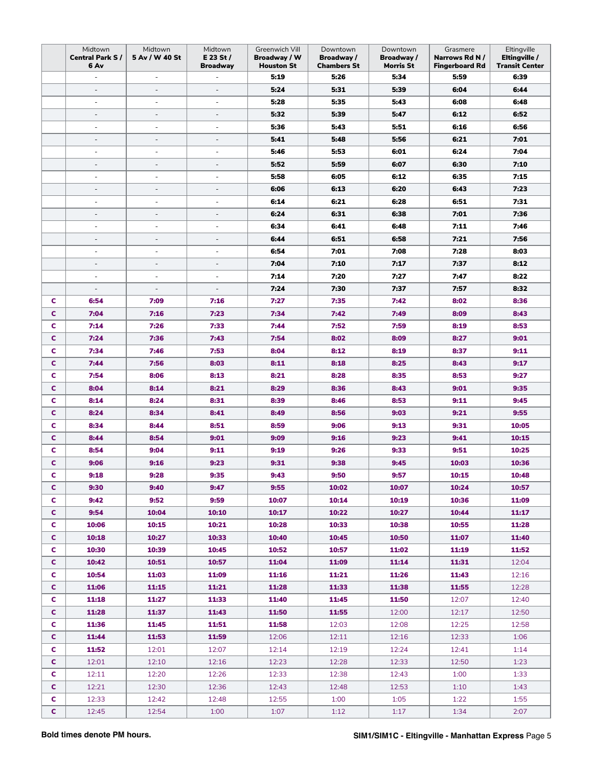|              | Midtown<br><b>Central Park S/</b><br>6 Av | Midtown<br>5 Av / W 40 St | Midtown<br>$E$ 23 St /<br><b>Broadway</b> | Greenwich Vill<br>Broadway / W<br><b>Houston St</b> | Downtown<br>Broadway/<br>Chambers St | Downtown<br>Broadway /<br><b>Morris St</b> | Grasmere<br>Narrows Rd N /<br><b>Fingerboard Rd</b> | Eltingville<br>Eltingville /<br><b>Transit Center</b> |
|--------------|-------------------------------------------|---------------------------|-------------------------------------------|-----------------------------------------------------|--------------------------------------|--------------------------------------------|-----------------------------------------------------|-------------------------------------------------------|
|              | ÷,                                        | $\overline{\phantom{a}}$  |                                           | 5:19                                                | 5:26                                 | 5:34                                       | 5:59                                                | 6:39                                                  |
|              | $\overline{\phantom{a}}$                  | $\overline{\phantom{a}}$  | ÷,                                        | 5:24                                                | 5:31                                 | 5:39                                       | 6:04                                                | 6:44                                                  |
|              | ÷,                                        |                           |                                           | 5:28                                                | 5:35                                 | 5:43                                       | 6:08                                                | 6:48                                                  |
|              | $\overline{\phantom{a}}$                  | $\overline{\phantom{a}}$  | $\overline{\phantom{a}}$                  | 5:32                                                | 5:39                                 | 5:47                                       | 6:12                                                | 6:52                                                  |
|              | $\overline{\phantom{a}}$                  | $\overline{\phantom{a}}$  | ÷,                                        | 5:36                                                | 5:43                                 | 5:51                                       | 6:16                                                | 6:56                                                  |
|              | $\overline{\phantom{a}}$                  | $\overline{\phantom{a}}$  | $\overline{\phantom{a}}$                  | 5:41                                                | 5:48                                 | 5:56                                       | 6:21                                                | 7:01                                                  |
|              | $\overline{\phantom{a}}$                  | $\overline{\phantom{a}}$  | ÷,                                        | 5:46                                                | 5:53                                 | 6:01                                       | 6:24                                                | 7:04                                                  |
|              | $\overline{\phantom{a}}$                  | $\overline{\phantom{a}}$  | $\overline{\phantom{a}}$                  | 5:52                                                | 5:59                                 | 6:07                                       | 6:30                                                | 7:10                                                  |
|              | ÷.                                        | $\sim$                    | ä,                                        | 5:58                                                | 6:05                                 | 6:12                                       | 6:35                                                | 7:15                                                  |
|              | L,                                        |                           |                                           | 6:06                                                | 6:13                                 | 6:20                                       | 6:43                                                | 7:23                                                  |
|              | ÷.                                        | $\sim$                    | ÷,                                        | 6:14                                                | 6:21                                 | 6:28                                       | 6:51                                                | 7:31                                                  |
|              | $\overline{\phantom{a}}$                  | $\overline{\phantom{a}}$  | $\overline{\phantom{a}}$                  | 6:24                                                | 6:31                                 | 6:38                                       | 7:01                                                | 7:36                                                  |
|              | $\overline{\phantom{a}}$                  | $\sim$                    | ÷,                                        | 6:34                                                | 6:41                                 | 6:48                                       | 7:11                                                | 7:46                                                  |
|              | $\overline{\phantom{a}}$                  | $\overline{\phantom{a}}$  |                                           | 6:44                                                | 6:51                                 | 6:58                                       | 7:21                                                | 7:56                                                  |
|              | $\overline{\phantom{a}}$                  | $\overline{\phantom{a}}$  | ÷                                         | 6:54                                                | 7:01                                 | 7:08                                       | 7:28                                                | 8:03                                                  |
|              | $\overline{\phantom{a}}$                  | $\overline{\phantom{a}}$  | ÷,                                        | 7:04                                                | 7:10                                 | 7:17                                       | 7:37                                                | 8:12                                                  |
|              | L,                                        | $\overline{\phantom{a}}$  | ä,                                        | 7:14                                                | 7:20                                 | 7:27                                       | 7:47                                                | 8:22                                                  |
|              | $\overline{a}$                            | $\overline{\phantom{a}}$  | ÷,                                        | 7:24                                                | 7:30                                 | 7:37                                       | 7:57                                                | 8:32                                                  |
| c            | 6:54                                      | 7:09                      | 7:16                                      | 7:27                                                | 7:35                                 | 7:42                                       | 8:02                                                | 8:36                                                  |
| c            | 7:04                                      | 7:16                      | 7:23                                      | 7:34                                                | 7:42                                 | 7:49                                       | 8:09                                                | 8:43                                                  |
| c            | 7:14                                      | 7:26                      | 7:33                                      | 7:44                                                | 7:52                                 | 7:59                                       | 8:19                                                | 8:53                                                  |
| c            | 7:24                                      | 7:36                      | 7:43                                      | 7:54                                                | 8:02                                 | 8:09                                       | 8:27                                                | 9:01                                                  |
| c            | 7:34                                      | 7:46                      | 7:53                                      | 8:04                                                | 8:12                                 | 8:19                                       | 8:37                                                | 9:11                                                  |
| c            | 7:44                                      | 7:56                      | 8:03                                      | 8:11                                                | 8:18                                 | 8:25                                       | 8:43                                                | 9:17                                                  |
| c            | 7:54                                      | 8:06                      | 8:13                                      | 8:21                                                | 8:28                                 | 8:35                                       | 8:53                                                | 9:27                                                  |
| c            | 8:04                                      | 8:14                      | 8:21                                      | 8:29                                                | 8:36                                 | 8:43                                       | 9:01                                                | 9:35                                                  |
| c            | 8:14                                      | 8:24                      | 8:31                                      | 8:39                                                | 8:46                                 | 8:53                                       | 9:11                                                | 9:45                                                  |
| c            | 8:24                                      | 8:34                      | 8:41                                      | 8:49                                                | 8:56                                 | 9:03                                       | 9:21                                                | 9:55                                                  |
| c            | 8:34                                      | 8:44                      | 8:51                                      | 8:59                                                | 9:06                                 | 9:13                                       | 9:31                                                | 10:05                                                 |
| C            | 8:44                                      | 8:54                      | 9:01                                      | 9:09                                                | 9:16                                 | 9:23                                       | 9:41                                                | 10:15                                                 |
| c            | 8:54                                      | 9:04                      | 9:11                                      | 9:19                                                | 9:26                                 | 9:33                                       | 9:51                                                | 10:25                                                 |
| c            | 9:06                                      | 9:16                      | 9:23                                      | 9:31                                                | 9:38                                 | 9:45                                       | 10:03                                               | 10:36                                                 |
| c            | 9:18                                      | 9:28                      | 9:35                                      | 9:43                                                | 9:50                                 | 9:57                                       | 10:15                                               | 10:48                                                 |
| C.           | 9:30                                      | 9:40                      | 9:47                                      | 9:55                                                | 10:02                                | 10:07                                      | 10:24                                               | 10:57                                                 |
| c.           | 9:42                                      | 9:52                      | 9:59                                      | 10:07                                               | 10:14                                | 10:19                                      | 10:36                                               | 11:09                                                 |
| C            | 9:54                                      | 10:04                     | 10:10                                     | 10:17                                               | 10:22                                | 10:27                                      | 10:44                                               | 11:17                                                 |
| $\mathbf{C}$ | 10:06                                     | 10:15                     | 10:21                                     | 10:28                                               | 10:33                                | 10:38                                      | 10:55                                               | 11:28                                                 |
| C            | 10:18                                     | 10:27                     | 10:33                                     | 10:40                                               | 10:45                                | 10:50                                      | 11:07                                               | 11:40                                                 |
| C            | 10:30                                     | 10:39                     | 10:45                                     | 10:52                                               | 10:57                                | 11:02                                      | 11:19                                               | 11:52                                                 |
| C            | 10:42                                     | 10:51                     | 10:57                                     | 11:04                                               | 11:09                                | 11:14                                      | 11:31                                               | 12:04                                                 |
| C.           | 10:54                                     | 11:03                     | 11:09                                     | 11:16                                               | 11:21                                | 11:26                                      | 11:43                                               | 12:16                                                 |
| C.           | 11:06                                     | 11:15                     | 11:21                                     | 11:28                                               | 11:33                                | 11:38                                      | 11:55                                               | 12:28                                                 |
| C            | 11:18                                     | 11:27                     | 11:33                                     | 11:40                                               | 11:45                                | 11:50                                      | 12:07                                               | 12:40                                                 |
| C.           | 11:28                                     | 11:37                     | 11:43                                     | 11:50                                               | 11:55                                | 12:00                                      | 12:17                                               | 12:50                                                 |
| C            | 11:36                                     | 11:45                     | 11:51                                     | 11:58                                               | 12:03                                | 12:08                                      | 12:25                                               | 12:58                                                 |
| C            | 11:44                                     | 11:53                     | 11:59                                     | 12:06                                               | 12:11                                | 12:16                                      | 12:33                                               | 1:06                                                  |
| C            | 11:52                                     | 12:01                     | 12:07                                     | 12:14                                               | 12:19                                | 12:24                                      | 12:41                                               | 1:14                                                  |
| C.           | 12:01                                     | 12:10                     | 12:16                                     | 12:23                                               | 12:28                                | 12:33                                      | 12:50                                               | 1:23                                                  |
| c.           | 12:11                                     | 12:20                     | 12:26                                     | 12:33                                               | 12:38                                | 12:43                                      | 1:00                                                | 1:33                                                  |
| C            | 12:21                                     | 12:30                     | 12:36                                     | 12:43                                               | 12:48                                | 12:53                                      | 1:10                                                | 1:43                                                  |
| C            | 12:33                                     | 12:42                     | 12:48                                     | 12:55                                               | 1:00                                 | 1:05                                       | 1:22                                                | 1:55                                                  |
| $\mathbf{C}$ | 12:45                                     | 12:54                     | 1:00                                      | 1:07                                                | 1:12                                 | 1:17                                       | 1:34                                                | 2:07                                                  |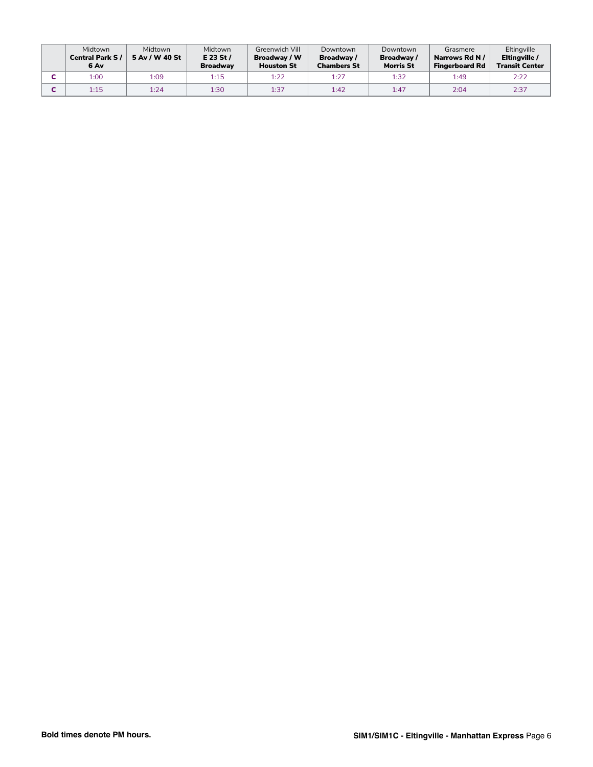| Midtown<br><b>Central Park S/</b><br>6 Av | Midtown<br>5 Av / W 40 St | Midtown<br>$E$ 23 St /<br><b>Broadway</b> | Greenwich Vill<br>Broadway / W<br><b>Houston St</b> | Downtown<br>Broadway /<br><b>Chambers St</b> | Downtown<br>Broadway /<br><b>Morris St</b> | Grasmere<br>Narrows Rd N /<br><b>Fingerboard Rd</b> | Eltingville<br>Eltingville /<br><b>Transit Center</b> |
|-------------------------------------------|---------------------------|-------------------------------------------|-----------------------------------------------------|----------------------------------------------|--------------------------------------------|-----------------------------------------------------|-------------------------------------------------------|
| 1:00                                      | 1:09                      | 1:15                                      | 1:22                                                | 1:27                                         | 1:32                                       | 1:49                                                | 2:22                                                  |
| 1:15                                      | 1:24                      | 1:30                                      | 1:37                                                | 1:42                                         | 1:47                                       | 2:04                                                | 2:37                                                  |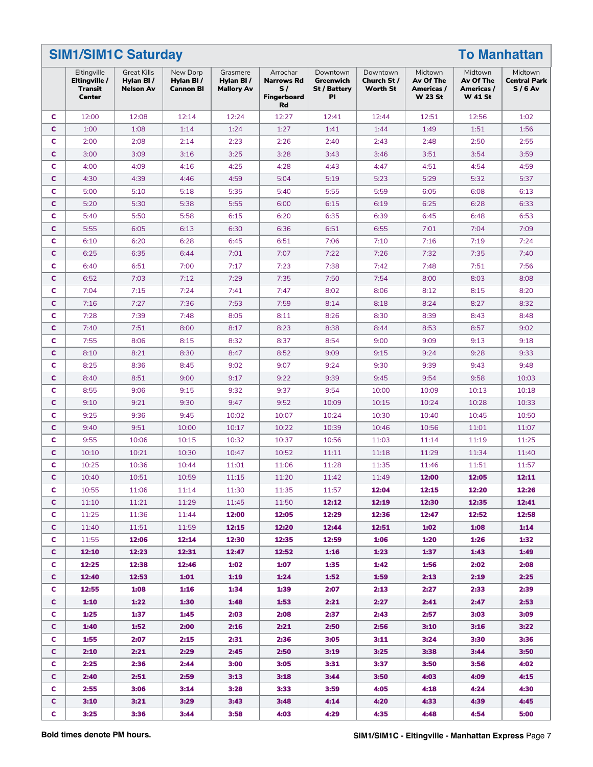|    | <b>SIM1/SIM1C Saturday</b>                        |                                                     |                                           |                                             |                                                                 |                                                           |                                     |                                                      |                                                      | <b>To Manhattan</b>                        |
|----|---------------------------------------------------|-----------------------------------------------------|-------------------------------------------|---------------------------------------------|-----------------------------------------------------------------|-----------------------------------------------------------|-------------------------------------|------------------------------------------------------|------------------------------------------------------|--------------------------------------------|
|    | Eltingville<br>Eltingville /<br>Transit<br>Center | <b>Great Kills</b><br>Hylan BI/<br><b>Nelson Av</b> | New Dorp<br>Hylan BI/<br><b>Cannon BI</b> | Grasmere<br>Hylan BI /<br><b>Mallory Av</b> | Arrochar<br><b>Narrows Rd</b><br>S/<br><b>Fingerboard</b><br>Rd | Downtown<br>Greenwich<br><b>St / Battery</b><br><b>PI</b> | Downtown<br>Church St /<br>Worth St | Midtown<br>Av Of The<br>Americas /<br><b>W 23 St</b> | Midtown<br>Av Of The<br>Americas /<br><b>W 41 St</b> | Midtown<br><b>Central Park</b><br>$S/6$ Av |
| c  | 12:00                                             | 12:08                                               | 12:14                                     | 12:24                                       | 12:27                                                           | 12:41                                                     | 12:44                               | 12:51                                                | 12:56                                                | 1:02                                       |
| C  | 1:00                                              | 1:08                                                | 1:14                                      | 1:24                                        | 1:27                                                            | 1:41                                                      | 1:44                                | 1:49                                                 | 1:51                                                 | 1:56                                       |
| c  | 2:00                                              | 2:08                                                | 2:14                                      | 2:23                                        | 2:26                                                            | 2:40                                                      | 2:43                                | 2:48                                                 | 2:50                                                 | 2:55                                       |
| C  | 3:00                                              | 3:09                                                | 3:16                                      | 3:25                                        | 3:28                                                            | 3:43                                                      | 3:46                                | 3:51                                                 | 3:54                                                 | 3:59                                       |
| c  | 4:00                                              | 4:09                                                | 4:16                                      | 4:25                                        | 4:28                                                            | 4:43                                                      | 4:47                                | 4:51                                                 | 4:54                                                 | 4:59                                       |
| C  | 4:30                                              | 4:39                                                | 4:46                                      | 4:59                                        | 5:04                                                            | 5:19                                                      | 5:23                                | 5:29                                                 | 5:32                                                 | 5:37                                       |
| c  | 5:00                                              | 5:10                                                | 5:18                                      | 5:35                                        | 5:40                                                            | 5:55                                                      | 5:59                                | 6:05                                                 | 6:08                                                 | 6:13                                       |
| C  | 5:20                                              | 5:30                                                | 5:38                                      | 5:55                                        | 6:00                                                            | 6:15                                                      | 6:19                                | 6:25                                                 | 6:28                                                 | 6:33                                       |
| c  | 5:40                                              | 5:50                                                | 5:58                                      | 6:15                                        | 6:20                                                            | 6:35                                                      | 6:39                                | 6:45                                                 | 6:48                                                 | 6:53                                       |
| C  | 5:55                                              | 6:05                                                | 6:13                                      | 6:30                                        | 6:36                                                            | 6:51                                                      | 6:55                                | 7:01                                                 | 7:04                                                 | 7:09                                       |
| C  | 6:10                                              | 6:20                                                | 6:28                                      | 6:45                                        | 6:51                                                            | 7:06                                                      | 7:10                                | 7:16                                                 | 7:19                                                 | 7:24                                       |
| C  | 6:25                                              | 6:35                                                | 6:44                                      | 7:01                                        | 7:07                                                            | 7:22                                                      | 7:26                                | 7:32                                                 | 7:35                                                 | 7:40                                       |
| c  | 6:40                                              | 6:51                                                | 7:00                                      | 7:17                                        | 7:23                                                            | 7:38                                                      | 7:42                                | 7:48                                                 | 7:51                                                 | 7:56                                       |
| C  | 6:52                                              | 7:03                                                | 7:12                                      | 7:29                                        | 7:35                                                            | 7:50                                                      | 7:54                                | 8:00                                                 | 8:03                                                 | 8:08                                       |
| c  | 7:04                                              | 7:15                                                | 7:24                                      | 7:41                                        | 7:47                                                            | 8:02                                                      | 8:06                                | 8:12                                                 | 8:15                                                 | 8:20                                       |
| C  | 7:16                                              | 7:27                                                | 7:36                                      | 7:53                                        | 7:59                                                            | 8:14                                                      | 8:18                                | 8:24                                                 | 8:27                                                 | 8:32                                       |
| c  | 7:28                                              | 7:39                                                | 7:48                                      | 8:05                                        | 8:11                                                            | 8:26                                                      | 8:30                                | 8:39                                                 | 8:43                                                 | 8:48                                       |
| C  | 7:40                                              | 7:51                                                | 8:00                                      | 8:17                                        | 8:23                                                            | 8:38                                                      | 8:44                                | 8:53                                                 | 8:57                                                 | 9:02                                       |
| c  | 7:55                                              | 8:06                                                | 8:15                                      | 8:32                                        | 8:37                                                            | 8:54                                                      | 9:00                                | 9:09                                                 | 9:13                                                 | 9:18                                       |
| C  | 8:10                                              | 8:21                                                | 8:30                                      | 8:47                                        | 8:52                                                            | 9:09                                                      | 9:15                                | 9:24                                                 | 9:28                                                 | 9:33                                       |
| c  | 8:25                                              | 8:36                                                | 8:45                                      | 9:02                                        | 9:07                                                            | 9:24                                                      | 9:30                                | 9:39                                                 | 9:43                                                 | 9:48                                       |
| C  | 8:40                                              | 8:51                                                | 9:00                                      | 9:17                                        | 9:22                                                            | 9:39                                                      | 9:45                                | 9:54                                                 | 9:58                                                 | 10:03                                      |
| c  | 8:55                                              | 9:06                                                | 9:15                                      | 9:32                                        | 9:37                                                            | 9:54                                                      | 10:00                               | 10:09                                                | 10:13                                                | 10:18                                      |
| C  | 9:10                                              | 9:21                                                | 9:30                                      | 9:47                                        | 9:52                                                            | 10:09                                                     | 10:15                               | 10:24                                                | 10:28                                                | 10:33                                      |
|    |                                                   |                                                     |                                           |                                             |                                                                 |                                                           |                                     |                                                      |                                                      |                                            |
| c  | 9:25                                              | 9:36                                                | 9:45                                      | 10:02                                       | 10:07                                                           | 10:24                                                     | 10:30                               | 10:40                                                | 10:45                                                | 10:50                                      |
| C  | 9:40                                              | 9:51                                                | 10:00                                     | 10:17                                       | 10:22                                                           | 10:39                                                     | 10:46                               | 10:56                                                | 11:01                                                | 11:07                                      |
| c  | 9:55                                              | 10:06                                               | 10:15                                     | 10:32                                       | 10:37                                                           | 10:56                                                     | 11:03                               | 11:14                                                | 11:19                                                | 11:25                                      |
| C  | 10:10                                             | 10:21                                               | 10:30                                     | 10:47                                       | 10:52                                                           | 11:11                                                     | 11:18                               | 11:29                                                | 11:34                                                | 11:40                                      |
| c  | 10:25                                             | 10:36                                               | 10:44                                     | 11:01                                       | 11:06                                                           | 11:28                                                     | 11:35                               | 11:46                                                | 11:51                                                | 11:57                                      |
| C  | 10:40                                             | 10:51                                               | 10:59                                     | 11:15                                       | 11:20                                                           | 11:42                                                     | 11:49                               | 12:00                                                | 12:05                                                | 12:11                                      |
| C  | 10:55                                             | 11:06                                               | 11:14                                     | 11:30                                       | 11:35                                                           | 11:57                                                     | 12:04                               | 12:15                                                | 12:20                                                | 12:26                                      |
| C. | 11:10                                             | 11:21                                               | 11:29                                     | 11:45                                       | 11:50                                                           | 12:12                                                     | 12:19                               | 12:30                                                | 12:35                                                | 12:41                                      |
| C  | 11:25                                             | 11:36                                               | 11:44                                     | 12:00                                       | 12:05                                                           | 12:29                                                     | 12:36                               | 12:47                                                | 12:52                                                | 12:58                                      |
| C. | 11:40                                             | 11:51                                               | 11:59                                     | 12:15                                       | 12:20                                                           | 12:44                                                     | 12:51                               | 1:02                                                 | 1:08                                                 | 1:14                                       |
| C. | 11:55                                             | 12:06                                               | 12:14                                     | 12:30                                       | 12:35                                                           | 12:59                                                     | 1:06                                | 1:20                                                 | 1:26                                                 | 1:32                                       |
| C. | 12:10                                             | 12:23                                               | 12:31                                     | 12:47                                       | 12:52                                                           | 1:16                                                      | 1:23                                | 1:37                                                 | 1:43                                                 | 1:49                                       |
| C  | 12:25                                             | 12:38                                               | 12:46                                     | 1:02                                        | 1:07                                                            | 1:35                                                      | 1:42                                | 1:56                                                 | 2:02                                                 | 2:08                                       |
| C. | 12:40                                             | 12:53                                               | 1:01                                      | 1:19                                        | 1:24                                                            | 1:52                                                      | 1:59                                | 2:13                                                 | 2:19                                                 | 2:25                                       |
| C. | 12:55                                             | 1:08                                                | 1:16                                      | 1:34                                        | 1:39                                                            | 2:07                                                      | 2:13                                | 2:27                                                 | 2:33                                                 | 2:39                                       |
| C. | 1:10                                              | 1:22                                                | 1:30                                      | 1:48                                        | 1:53                                                            | 2:21                                                      | 2:27                                | 2:41                                                 | 2:47                                                 | 2:53                                       |
| C. | 1:25                                              | 1:37                                                | 1:45                                      | 2:03                                        | 2:08                                                            | 2:37                                                      | 2:43                                | 2:57                                                 | 3:03                                                 | 3:09                                       |
| C. | 1:40                                              | 1:52                                                | 2:00                                      | 2:16                                        | 2:21                                                            | 2:50                                                      | 2:56                                | 3:10                                                 | 3:16                                                 | 3:22                                       |
| C. | 1:55                                              | 2:07                                                | 2:15                                      | 2:31                                        | 2:36                                                            | 3:05                                                      | 3:11                                | 3:24                                                 | 3:30                                                 | 3:36                                       |
| C. | 2:10                                              | 2:21                                                | 2:29                                      | 2:45                                        | 2:50                                                            | 3:19                                                      | 3:25                                | 3:38                                                 | 3:44                                                 | 3:50                                       |
| c. | 2:25                                              | 2:36                                                | 2:44                                      | 3:00                                        | 3:05                                                            | 3:31                                                      | 3:37                                | 3:50                                                 | 3:56                                                 | 4:02                                       |
| C. | 2:40                                              | 2:51                                                | 2:59                                      | 3:13                                        | 3:18                                                            | 3:44                                                      | 3:50                                | 4:03                                                 | 4:09                                                 | 4:15                                       |
| C  | 2:55                                              | 3:06                                                | 3:14                                      | 3:28                                        | 3:33                                                            | 3:59                                                      | 4:05                                | 4:18                                                 | 4:24                                                 | 4:30                                       |
| C. | 3:10                                              | 3:21                                                | 3:29                                      | 3:43                                        | 3:48                                                            | 4:14                                                      | 4:20                                | 4:33                                                 | 4:39                                                 | 4:45                                       |
| C  | 3:25                                              | 3:36                                                | 3:44                                      | 3:58                                        | 4:03                                                            | 4:29                                                      | 4:35                                | 4:48                                                 | 4:54                                                 | 5:00                                       |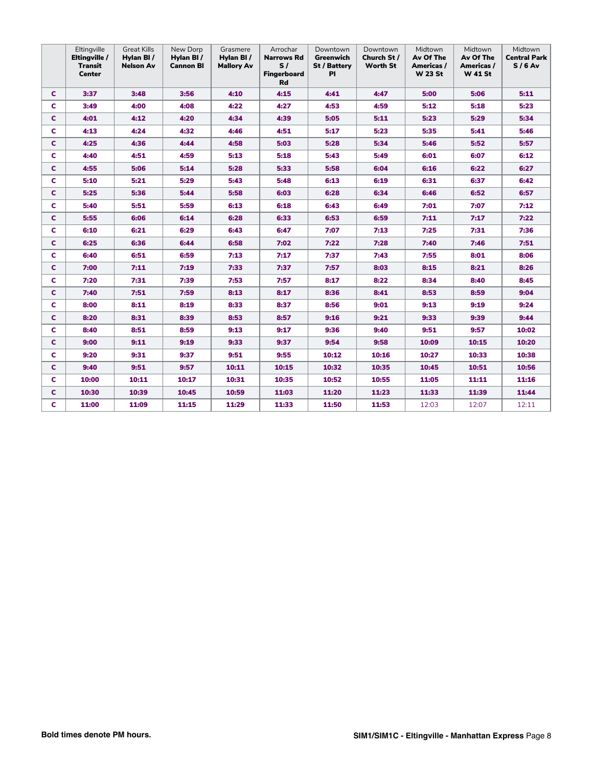|   | Eltingville<br>Eltingville /<br><b>Transit</b><br><b>Center</b> | <b>Great Kills</b><br>Hylan BI/<br><b>Nelson Av</b> | New Dorp<br>Hylan BI/<br><b>Cannon BI</b> | Grasmere<br>Hylan BI /<br><b>Mallory Av</b> | Arrochar<br><b>Narrows Rd</b><br>S/<br><b>Fingerboard</b><br>Rd | Downtown<br>Greenwich<br>St / Battery<br>P1 | Downtown<br>Church St/<br><b>Worth St</b> | Midtown<br>Av Of The<br>Americas /<br><b>W 23 St</b> | Midtown<br>Av Of The<br>Americas /<br><b>W 41 St</b> | Midtown<br><b>Central Park</b><br>$S/6$ Av |
|---|-----------------------------------------------------------------|-----------------------------------------------------|-------------------------------------------|---------------------------------------------|-----------------------------------------------------------------|---------------------------------------------|-------------------------------------------|------------------------------------------------------|------------------------------------------------------|--------------------------------------------|
| c | 3:37                                                            | 3:48                                                | 3:56                                      | 4:10                                        | 4:15                                                            | 4:41                                        | 4:47                                      | 5:00                                                 | 5:06                                                 | 5:11                                       |
| c | 3:49                                                            | 4:00                                                | 4:08                                      | 4:22                                        | 4:27                                                            | 4:53                                        | 4:59                                      | 5:12                                                 | 5:18                                                 | 5:23                                       |
| c | 4:01                                                            | 4:12                                                | 4:20                                      | 4:34                                        | 4:39                                                            | 5:05                                        | 5:11                                      | 5:23                                                 | 5:29                                                 | 5:34                                       |
| c | 4:13                                                            | 4:24                                                | 4:32                                      | 4:46                                        | 4:51                                                            | 5:17                                        | 5:23                                      | 5:35                                                 | 5:41                                                 | 5:46                                       |
| c | 4:25                                                            | 4:36                                                | 4:44                                      | 4:58                                        | 5:03                                                            | 5:28                                        | 5:34                                      | 5:46                                                 | 5:52                                                 | 5:57                                       |
| c | 4:40                                                            | 4:51                                                | 4:59                                      | 5:13                                        | 5:18                                                            | 5:43                                        | 5:49                                      | 6:01                                                 | 6:07                                                 | 6:12                                       |
| c | 4:55                                                            | 5:06                                                | 5:14                                      | 5:28                                        | 5:33                                                            | 5:58                                        | 6:04                                      | 6:16                                                 | 6:22                                                 | 6:27                                       |
| c | 5:10                                                            | 5:21                                                | 5:29                                      | 5:43                                        | 5:48                                                            | 6:13                                        | 6:19                                      | 6:31                                                 | 6:37                                                 | 6:42                                       |
| c | 5:25                                                            | 5:36                                                | 5:44                                      | 5:58                                        | 6:03                                                            | 6:28                                        | 6:34                                      | 6:46                                                 | 6:52                                                 | 6:57                                       |
| c | 5:40                                                            | 5:51                                                | 5:59                                      | 6:13                                        | 6:18                                                            | 6:43                                        | 6:49                                      | 7:01                                                 | 7:07                                                 | 7:12                                       |
| c | 5:55                                                            | 6:06                                                | 6:14                                      | 6:28                                        | 6:33                                                            | 6:53                                        | 6:59                                      | 7:11                                                 | 7:17                                                 | 7:22                                       |
| c | 6:10                                                            | 6:21                                                | 6:29                                      | 6:43                                        | 6:47                                                            | 7:07                                        | 7:13                                      | 7:25                                                 | 7:31                                                 | 7:36                                       |
| C | 6:25                                                            | 6:36                                                | 6:44                                      | 6:58                                        | 7:02                                                            | 7:22                                        | 7:28                                      | 7:40                                                 | 7:46                                                 | 7:51                                       |
| c | 6:40                                                            | 6:51                                                | 6:59                                      | 7:13                                        | 7:17                                                            | 7:37                                        | 7:43                                      | 7:55                                                 | 8:01                                                 | 8:06                                       |
| c | 7:00                                                            | 7:11                                                | 7:19                                      | 7:33                                        | 7:37                                                            | 7:57                                        | 8:03                                      | 8:15                                                 | 8:21                                                 | 8:26                                       |
| c | 7:20                                                            | 7:31                                                | 7:39                                      | 7:53                                        | 7:57                                                            | 8:17                                        | 8:22                                      | 8:34                                                 | 8:40                                                 | 8:45                                       |
| C | 7:40                                                            | 7:51                                                | 7:59                                      | 8:13                                        | 8:17                                                            | 8:36                                        | 8:41                                      | 8:53                                                 | 8:59                                                 | 9:04                                       |
| c | 8:00                                                            | 8:11                                                | 8:19                                      | 8:33                                        | 8:37                                                            | 8:56                                        | 9:01                                      | 9:13                                                 | 9:19                                                 | 9:24                                       |
| C | 8:20                                                            | 8:31                                                | 8:39                                      | 8:53                                        | 8:57                                                            | 9:16                                        | 9:21                                      | 9:33                                                 | 9:39                                                 | 9:44                                       |
| c | 8:40                                                            | 8:51                                                | 8:59                                      | 9:13                                        | 9:17                                                            | 9:36                                        | 9:40                                      | 9:51                                                 | 9:57                                                 | 10:02                                      |
| C | 9:00                                                            | 9:11                                                | 9:19                                      | 9:33                                        | 9:37                                                            | 9:54                                        | 9:58                                      | 10:09                                                | 10:15                                                | 10:20                                      |
| c | 9:20                                                            | 9:31                                                | 9:37                                      | 9:51                                        | 9:55                                                            | 10:12                                       | 10:16                                     | 10:27                                                | 10:33                                                | 10:38                                      |
| c | 9:40                                                            | 9:51                                                | 9:57                                      | 10:11                                       | 10:15                                                           | 10:32                                       | 10:35                                     | 10:45                                                | 10:51                                                | 10:56                                      |
| c | 10:00                                                           | 10:11                                               | 10:17                                     | 10:31                                       | 10:35                                                           | 10:52                                       | 10:55                                     | 11:05                                                | 11:11                                                | 11:16                                      |
| c | 10:30                                                           | 10:39                                               | 10:45                                     | 10:59                                       | 11:03                                                           | 11:20                                       | 11:23                                     | 11:33                                                | 11:39                                                | 11:44                                      |
| c | 11:00                                                           | 11:09                                               | 11:15                                     | 11:29                                       | 11:33                                                           | 11:50                                       | 11:53                                     | 12:03                                                | 12:07                                                | 12:11                                      |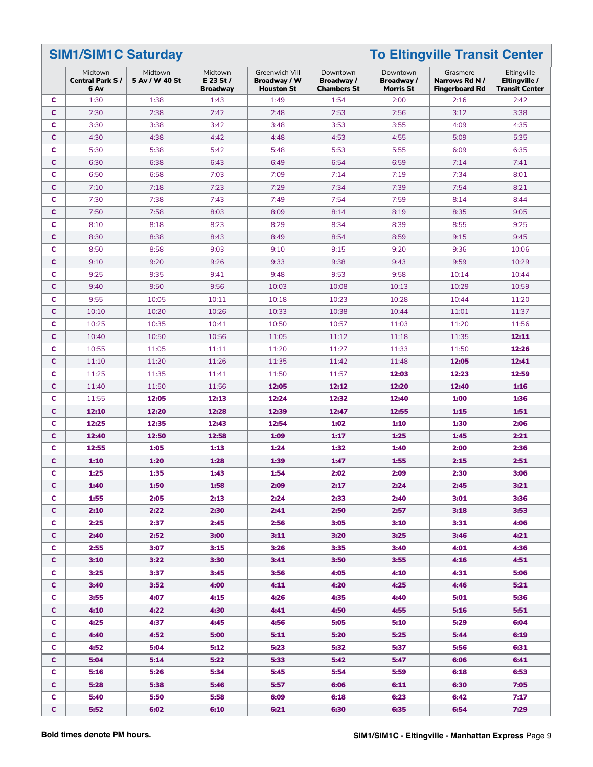**SIM1/SIM1C Saturday To Eltingville Transit Center**

|              | Midtown<br><b>Central Park S/</b><br>6 Av | Midtown<br>5 Av / W 40 St | Midtown<br>E 23 St $/$<br><b>Broadway</b> | Greenwich Vill<br>Broadway / W<br><b>Houston St</b> | Downtown<br>Broadway/<br><b>Chambers St</b> | Downtown<br>Broadway /<br><b>Morris St</b> | Grasmere<br>Narrows Rd N /<br><b>Fingerboard Rd</b> | Eltingville<br>Eltingville /<br><b>Transit Center</b> |
|--------------|-------------------------------------------|---------------------------|-------------------------------------------|-----------------------------------------------------|---------------------------------------------|--------------------------------------------|-----------------------------------------------------|-------------------------------------------------------|
| C            | 1:30                                      | 1:38                      | 1:43                                      | 1:49                                                | 1:54                                        | 2:00                                       | 2:16                                                | 2:42                                                  |
| C            | 2:30                                      | 2:38                      | 2:42                                      | 2:48                                                | 2:53                                        | 2:56                                       | 3:12                                                | 3:38                                                  |
| c            | 3:30                                      | 3:38                      | 3:42                                      | 3:48                                                | 3:53                                        | 3:55                                       | 4:09                                                | 4:35                                                  |
| c            | 4:30                                      | 4:38                      | 4:42                                      | 4:48                                                | 4:53                                        | 4:55                                       | 5:09                                                | 5:35                                                  |
| c            | 5:30                                      | 5:38                      | 5:42                                      | 5:48                                                | 5:53                                        | 5:55                                       | 6:09                                                | 6:35                                                  |
| C            | 6:30                                      | 6:38                      | 6:43                                      | 6:49                                                | 6:54                                        | 6:59                                       | 7:14                                                | 7:41                                                  |
| c            | 6:50                                      | 6:58                      | 7:03                                      | 7:09                                                | 7:14                                        | 7:19                                       | 7:34                                                | 8:01                                                  |
| $\mathbf{C}$ | 7:10                                      | 7:18                      | 7:23                                      | 7:29                                                | 7:34                                        | 7:39                                       | 7:54                                                | 8:21                                                  |
| c            | 7:30                                      | 7:38                      | 7:43                                      | 7:49                                                | 7:54                                        | 7:59                                       | 8:14                                                | 8:44                                                  |
| C            | 7:50                                      | 7:58                      | 8:03                                      | 8:09                                                | 8:14                                        | 8:19                                       | 8:35                                                | 9:05                                                  |
| c            | 8:10                                      | 8:18                      | 8:23                                      | 8:29                                                | 8:34                                        | 8:39                                       | 8:55                                                | 9:25                                                  |
| C            | 8:30                                      | 8:38                      | 8:43                                      | 8:49                                                | 8:54                                        | 8:59                                       | 9:15                                                | 9:45                                                  |
| C            | 8:50                                      | 8:58                      | 9:03                                      | 9:10                                                | 9:15                                        | 9:20                                       | 9:36                                                | 10:06                                                 |
| c            | 9:10                                      | 9:20                      | 9:26                                      | 9:33                                                | 9:38                                        | 9:43                                       | 9:59                                                | 10:29                                                 |
| c            | 9:25                                      | 9:35                      | 9:41                                      | 9:48                                                | 9:53                                        | 9:58                                       | 10:14                                               | 10:44                                                 |
| c            | 9:40                                      | 9:50                      | 9:56                                      | 10:03                                               | 10:08                                       | 10:13                                      | 10:29                                               | 10:59                                                 |
| c            | 9:55                                      | 10:05                     | 10:11                                     | 10:18                                               | 10:23                                       | 10:28                                      | 10:44                                               | 11:20                                                 |
| c            | 10:10                                     | 10:20                     | 10:26                                     | 10:33                                               | 10:38                                       | 10:44                                      | 11:01                                               | 11:37                                                 |
| c            | 10:25                                     | 10:35                     | 10:41                                     | 10:50                                               | 10:57                                       | 11:03                                      | 11:20                                               | 11:56                                                 |
| C            | 10:40                                     | 10:50                     | 10:56                                     | 11:05                                               | 11:12                                       | 11:18                                      | 11:35                                               | 12:11                                                 |
| c            | 10:55                                     | 11:05                     | 11:11                                     | 11:20                                               | 11:27                                       | 11:33                                      | 11:50                                               | 12:26                                                 |
| c            | 11:10                                     | 11:20                     | 11:26                                     | 11:35                                               | 11:42                                       | 11:48                                      | 12:05                                               | 12:41                                                 |
| c            | 11:25                                     | 11:35                     | 11:41                                     | 11:50                                               | 11:57                                       | 12:03                                      | 12:23                                               | 12:59                                                 |
| C            | 11:40                                     | 11:50                     | 11:56                                     | 12:05                                               | 12:12                                       | 12:20                                      | 12:40                                               | 1:16                                                  |
| c            | 11:55                                     | 12:05                     | 12:13                                     | 12:24                                               | 12:32                                       | 12:40                                      | 1:00                                                | 1:36                                                  |
| C            | 12:10                                     | 12:20                     | 12:28                                     | 12:39                                               | 12:47                                       | 12:55                                      | 1:15                                                | 1:51                                                  |
| c            | 12:25                                     | 12:35                     | 12:43                                     | 12:54                                               | 1:02                                        | 1:10                                       | 1:30                                                | 2:06                                                  |
| c            | 12:40                                     | 12:50                     | 12:58                                     | 1:09                                                | 1:17                                        | 1:25                                       | 1:45                                                | 2:21                                                  |
| C            | 12:55                                     | 1:05                      | 1:13                                      | 1:24                                                | 1:32                                        | 1:40                                       | 2:00                                                | 2:36                                                  |
| C            | 1:10                                      | 1:20                      | 1:28                                      | 1:39                                                | 1:47                                        | 1:55                                       | 2:15                                                | 2:51                                                  |
| c            | 1:25                                      | 1:35                      | 1:43                                      | 1:54                                                | 2:02                                        | 2:09                                       | 2:30                                                | 3:06                                                  |
| C            | 1:40                                      | 1:50                      | 1:58                                      | 2:09                                                | 2:17                                        | 2:24                                       | 2:45                                                | 3:21                                                  |
| c            | 1:55                                      | 2:05                      | 2:13                                      | 2:24                                                | 2:33                                        | 2:40                                       | 3:01                                                | 3:36                                                  |
| c.           | 2:10                                      | 2:22                      | 2:30                                      | 2:41                                                | 2:50                                        | 2:57                                       | 3:18                                                | 3:53                                                  |
| C            | 2:25                                      | 2:37                      | 2:45                                      | 2:56                                                | 3:05                                        | 3:10                                       | 3:31                                                | 4:06                                                  |
| C.           | 2:40                                      | 2:52                      | 3:00                                      | 3:11                                                | 3:20                                        | 3:25                                       | 3:46                                                | 4:21                                                  |
| C            | 2:55                                      | 3:07                      | 3:15                                      | 3:26                                                | 3:35                                        | 3:40                                       | 4:01                                                | 4:36                                                  |
| $\mathbf{C}$ | 3:10                                      | 3:22                      | 3:30                                      | 3:41                                                | 3:50                                        | 3:55                                       | 4:16                                                | 4:51                                                  |
| C            | 3:25                                      | 3:37                      | 3:45                                      | 3:56                                                | 4:05                                        | 4:10                                       | 4:31                                                | 5:06                                                  |
| C            | 3:40                                      | 3:52                      | 4:00                                      | 4:11                                                | 4:20                                        | 4:25                                       | 4:46                                                | 5:21                                                  |
| C            | 3:55                                      | 4:07                      | 4:15                                      | 4:26                                                | 4:35                                        | 4:40                                       | 5:01                                                | 5:36                                                  |
| C.           | 4:10                                      | 4:22                      | 4:30                                      | 4:41                                                | 4:50                                        | 4:55                                       | 5:16                                                | 5:51                                                  |
| C            | 4:25                                      | 4:37                      | 4:45                                      | 4:56                                                | 5:05                                        | 5:10                                       | 5:29                                                | 6:04                                                  |
| C.           | 4:40                                      | 4:52                      | 5:00                                      | 5:11                                                | 5:20                                        | 5:25                                       | 5:44                                                | 6:19                                                  |
| C            | 4:52                                      | 5:04                      | 5:12                                      | 5:23                                                | 5:32                                        | 5:37                                       | 5:56                                                | 6:31                                                  |
| C.           | 5:04                                      | 5:14                      | 5:22                                      | 5:33                                                | 5:42                                        | 5:47                                       | 6:06                                                | 6:41                                                  |
| C            | 5:16                                      | 5:26                      | 5:34                                      | 5:45                                                | 5:54                                        | 5:59                                       | 6:18                                                | 6:53                                                  |
| C            | 5:28                                      | 5:38                      | 5:46                                      | 5:57                                                | 6:06                                        | 6:11                                       | 6:30                                                | 7:05                                                  |
| C            | 5:40                                      | 5:50                      | 5:58                                      | 6:09                                                | 6:18                                        | 6:23                                       | 6:42                                                | 7:17                                                  |
| $\mathbf{C}$ | 5:52                                      | 6:02                      | 6:10                                      | 6:21                                                | 6:30                                        | 6:35                                       | 6:54                                                | 7:29                                                  |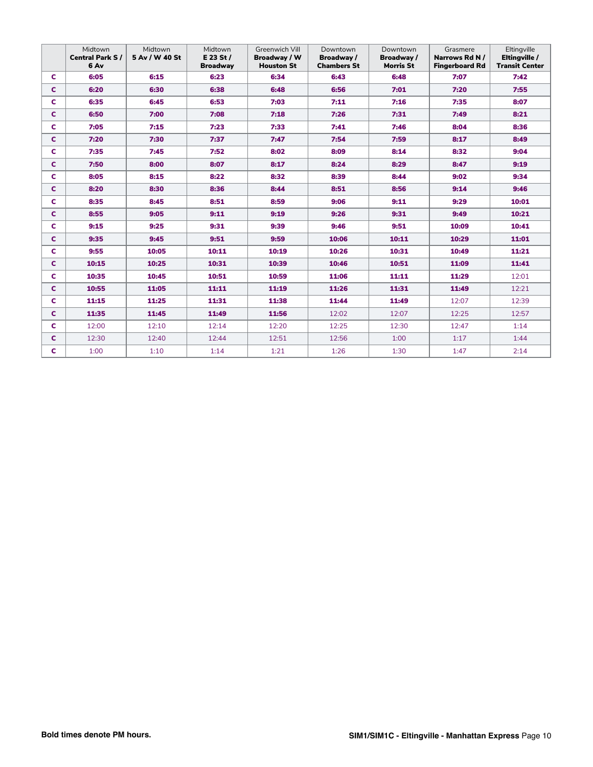|              | Midtown<br><b>Central Park S/</b><br>6 Av | Midtown<br>5 Av / W 40 St | Midtown<br>$E$ 23 St /<br><b>Broadway</b> | <b>Greenwich Vill</b><br>Broadway / W<br><b>Houston St</b> | Downtown<br>Broadway/<br><b>Chambers St</b> | Downtown<br>Broadway /<br><b>Morris St</b> | Grasmere<br>Narrows Rd N /<br><b>Fingerboard Rd</b> | Eltingville<br>Eltingville /<br><b>Transit Center</b> |
|--------------|-------------------------------------------|---------------------------|-------------------------------------------|------------------------------------------------------------|---------------------------------------------|--------------------------------------------|-----------------------------------------------------|-------------------------------------------------------|
| C.           | 6:05                                      | 6:15                      | 6:23                                      | 6:34                                                       | 6:43                                        | 6:48                                       | 7:07                                                | 7:42                                                  |
| c            | 6:20                                      | 6:30                      | 6:38                                      | 6:48                                                       | 6:56                                        | 7:01                                       | 7:20                                                | 7:55                                                  |
| c            | 6:35                                      | 6:45                      | 6:53                                      | 7:03                                                       | 7:11                                        | 7:16                                       | 7:35                                                | 8:07                                                  |
| C.           | 6:50                                      | 7:00                      | 7:08                                      | 7:18                                                       | 7:26                                        | 7:31                                       | 7:49                                                | 8:21                                                  |
| C            | 7:05                                      | 7:15                      | 7:23                                      | 7:33                                                       | 7:41                                        | 7:46                                       | 8:04                                                | 8:36                                                  |
| c            | 7:20                                      | 7:30                      | 7:37                                      | 7:47                                                       | 7:54                                        | 7:59                                       | 8:17                                                | 8:49                                                  |
| C            | 7:35                                      | 7:45                      | 7:52                                      | 8:02                                                       | 8:09                                        | 8:14                                       | 8:32                                                | 9:04                                                  |
| $\mathbf{C}$ | 7:50                                      | 8:00                      | 8:07                                      | 8:17                                                       | 8:24                                        | 8:29                                       | 8:47                                                | 9:19                                                  |
| C.           | 8:05                                      | 8:15                      | 8:22                                      | 8:32                                                       | 8:39                                        | 8:44                                       | 9:02                                                | 9:34                                                  |
| $\mathbf{C}$ | 8:20                                      | 8:30                      | 8:36                                      | 8:44                                                       | 8:51                                        | 8:56                                       | 9:14                                                | 9:46                                                  |
| C            | 8:35                                      | 8:45                      | 8:51                                      | 8:59                                                       | 9:06                                        | 9:11                                       | 9:29                                                | 10:01                                                 |
| $\mathbf{C}$ | 8:55                                      | 9:05                      | 9:11                                      | 9:19                                                       | 9:26                                        | 9:31                                       | 9:49                                                | 10:21                                                 |
| C.           | 9:15                                      | 9:25                      | 9:31                                      | 9:39                                                       | 9:46                                        | 9:51                                       | 10:09                                               | 10:41                                                 |
| C.           | 9:35                                      | 9:45                      | 9:51                                      | 9:59                                                       | 10:06                                       | 10:11                                      | 10:29                                               | 11:01                                                 |
| C            | 9:55                                      | 10:05                     | 10:11                                     | 10:19                                                      | 10:26                                       | 10:31                                      | 10:49                                               | 11:21                                                 |
| c            | 10:15                                     | 10:25                     | 10:31                                     | 10:39                                                      | 10:46                                       | 10:51                                      | 11:09                                               | 11:41                                                 |
| C            | 10:35                                     | 10:45                     | 10:51                                     | 10:59                                                      | 11:06                                       | 11:11                                      | 11:29                                               | 12:01                                                 |
| C.           | 10:55                                     | 11:05                     | 11:11                                     | 11:19                                                      | 11:26                                       | 11:31                                      | 11:49                                               | 12:21                                                 |
| c            | 11:15                                     | 11:25                     | 11:31                                     | 11:38                                                      | 11:44                                       | 11:49                                      | 12:07                                               | 12:39                                                 |
| C.           | 11:35                                     | 11:45                     | 11:49                                     | 11:56                                                      | 12:02                                       | 12:07                                      | 12:25                                               | 12:57                                                 |
| c            | 12:00                                     | 12:10                     | 12:14                                     | 12:20                                                      | 12:25                                       | 12:30                                      | 12:47                                               | 1:14                                                  |
| C.           | 12:30                                     | 12:40                     | 12:44                                     | 12:51                                                      | 12:56                                       | 1:00                                       | 1:17                                                | 1:44                                                  |
| C.           | 1:00                                      | 1:10                      | 1:14                                      | 1:21                                                       | 1:26                                        | 1:30                                       | 1:47                                                | 2:14                                                  |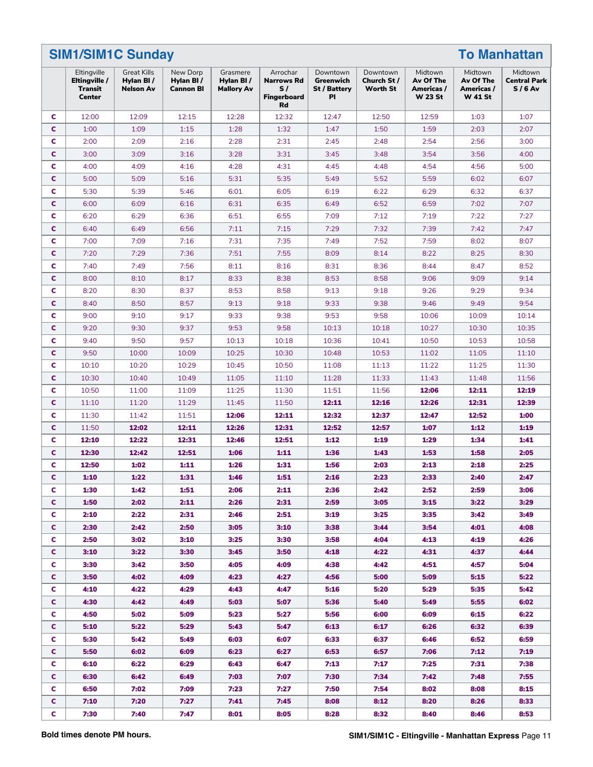|              | <b>SIM1/SIM1C Sunday</b>                          |                                                     |                                           |                                            |                                                                 |                                                    |                                            | <b>To Manhattan</b>                                  |                                                      |                                            |  |  |
|--------------|---------------------------------------------------|-----------------------------------------------------|-------------------------------------------|--------------------------------------------|-----------------------------------------------------------------|----------------------------------------------------|--------------------------------------------|------------------------------------------------------|------------------------------------------------------|--------------------------------------------|--|--|
|              | Eltingville<br>Eltingville /<br>Transit<br>Center | <b>Great Kills</b><br>Hylan BI/<br><b>Nelson Av</b> | New Dorp<br>Hylan BI/<br><b>Cannon BI</b> | Grasmere<br>Hylan BI/<br><b>Mallory Av</b> | Arrochar<br><b>Narrows Rd</b><br>S/<br><b>Fingerboard</b><br>Rd | Downtown<br>Greenwich<br><b>St / Battery</b><br>PI | Downtown<br>Church St /<br><b>Worth St</b> | Midtown<br>Av Of The<br>Americas /<br><b>W 23 St</b> | Midtown<br>Av Of The<br>Americas /<br><b>W 41 St</b> | Midtown<br><b>Central Park</b><br>$S/6$ Av |  |  |
| C            | 12:00                                             | 12:09                                               | 12:15                                     | 12:28                                      | 12:32                                                           | 12:47                                              | 12:50                                      | 12:59                                                | 1:03                                                 | 1:07                                       |  |  |
| C            | 1:00                                              | 1:09                                                | 1:15                                      | 1:28                                       | 1:32                                                            | 1:47                                               | 1:50                                       | 1:59                                                 | 2:03                                                 | 2:07                                       |  |  |
| c            | 2:00                                              | 2:09                                                | 2:16                                      | 2:28                                       | 2:31                                                            | 2:45                                               | 2:48                                       | 2:54                                                 | 2:56                                                 | 3:00                                       |  |  |
| C            | 3:00                                              | 3:09                                                | 3:16                                      | 3:28                                       | 3:31                                                            | 3:45                                               | 3:48                                       | 3:54                                                 | 3:56                                                 | 4:00                                       |  |  |
| c            | 4:00                                              | 4:09                                                | 4:16                                      | 4:28                                       | 4:31                                                            | 4:45                                               | 4:48                                       | 4:54                                                 | 4:56                                                 | 5:00                                       |  |  |
| C            | 5:00                                              | 5:09                                                | 5:16                                      | 5:31                                       | 5:35                                                            | 5:49                                               | 5:52                                       | 5:59                                                 | 6:02                                                 | 6:07                                       |  |  |
| c            | 5:30                                              | 5:39                                                | 5:46                                      | 6:01                                       | 6:05                                                            | 6:19                                               | 6:22                                       | 6:29                                                 | 6:32                                                 | 6:37                                       |  |  |
| C            | 6:00                                              | 6:09                                                | 6:16                                      | 6:31                                       | 6:35                                                            | 6:49                                               | 6:52                                       | 6:59                                                 | 7:02                                                 | 7:07                                       |  |  |
| c            | 6:20                                              | 6:29                                                | 6:36                                      | 6:51                                       | 6:55                                                            | 7:09                                               | 7:12                                       | 7:19                                                 | 7:22                                                 | 7:27                                       |  |  |
| C            | 6:40                                              | 6:49                                                | 6:56                                      | 7:11                                       | 7:15                                                            | 7:29                                               | 7:32                                       | 7:39                                                 | 7:42                                                 | 7:47                                       |  |  |
| c            | 7:00                                              | 7:09                                                | 7:16                                      | 7:31                                       | 7:35                                                            | 7:49                                               | 7:52                                       | 7:59                                                 | 8:02                                                 | 8:07                                       |  |  |
| C            | 7:20                                              | 7:29                                                | 7:36                                      | 7:51                                       | 7:55                                                            | 8:09                                               | 8:14                                       | 8:22                                                 | 8:25                                                 | 8:30                                       |  |  |
| c            | 7:40                                              | 7:49                                                | 7:56                                      | 8:11                                       | 8:16                                                            | 8:31                                               | 8:36                                       | 8:44                                                 | 8:47                                                 | 8:52                                       |  |  |
| c            | 8:00                                              | 8:10                                                | 8:17                                      | 8:33                                       | 8:38                                                            | 8:53                                               | 8:58                                       | 9:06                                                 | 9:09                                                 | 9:14                                       |  |  |
| c            | 8:20                                              | 8:30                                                | 8:37                                      | 8:53                                       | 8:58                                                            | 9:13                                               | 9:18                                       | 9:26                                                 | 9:29                                                 | 9:34                                       |  |  |
| C            | 8:40                                              | 8:50                                                | 8:57                                      | 9:13                                       | 9:18                                                            | 9:33                                               | 9:38                                       | 9:46                                                 | 9:49                                                 | 9:54                                       |  |  |
| c            | 9:00                                              | 9:10                                                | 9:17                                      | 9:33                                       | 9:38                                                            | 9:53                                               | 9:58                                       | 10:06                                                | 10:09                                                | 10:14                                      |  |  |
| C            | 9:20                                              | 9:30                                                | 9:37                                      | 9:53                                       | 9:58                                                            | 10:13                                              | 10:18                                      | 10:27                                                | 10:30                                                | 10:35                                      |  |  |
| c            | 9:40                                              | 9:50                                                | 9:57                                      | 10:13                                      | 10:18                                                           | 10:36                                              | 10:41                                      | 10:50                                                | 10:53                                                | 10:58                                      |  |  |
| C            | 9:50                                              | 10:00                                               | 10:09                                     | 10:25                                      | 10:30                                                           | 10:48                                              | 10:53                                      | 11:02                                                | 11:05                                                | 11:10                                      |  |  |
| c            | 10:10                                             | 10:20                                               | 10:29                                     | 10:45                                      | 10:50                                                           | 11:08                                              | 11:13                                      | 11:22                                                | 11:25                                                | 11:30                                      |  |  |
| C            | 10:30                                             | 10:40                                               | 10:49                                     | 11:05                                      | 11:10                                                           | 11:28                                              | 11:33                                      | 11:43                                                | 11:48                                                | 11:56                                      |  |  |
| c            | 10:50                                             | 11:00                                               | 11:09                                     | 11:25                                      | 11:30                                                           | 11:51                                              | 11:56                                      | 12:06                                                | 12:11                                                | 12:19                                      |  |  |
| C            | 11:10                                             | 11:20                                               | 11:29                                     | 11:45                                      | 11:50                                                           | 12:11                                              | 12:16                                      | 12:26                                                | 12:31                                                | 12:39                                      |  |  |
| c            | 11:30                                             | 11:42                                               | 11:51                                     | 12:06                                      | 12:11                                                           | 12:32                                              | 12:37                                      | 12:47                                                | 12:52                                                | 1:00                                       |  |  |
| C            | 11:50                                             | 12:02                                               | 12:11                                     | 12:26                                      | 12:31                                                           | 12:52                                              | 12:57                                      | 1:07                                                 | 1:12                                                 | 1:19                                       |  |  |
| c            | 12:10                                             | 12:22                                               | 12:31                                     | 12:46                                      | 12:51                                                           | 1:12                                               | 1:19                                       | 1:29                                                 | 1:34                                                 | 1:41                                       |  |  |
| c            | 12:30                                             | 12:42                                               | 12:51                                     | 1:06                                       | 1:11                                                            | 1:36                                               | 1:43                                       | 1:53                                                 | 1:58                                                 | 2:05                                       |  |  |
| c            | 12:50                                             | 1:02                                                |                                           | 1:26                                       | 1:31                                                            | 1:56                                               | 2:03                                       | 2:13                                                 |                                                      | 2:25                                       |  |  |
| $\mathsf{C}$ |                                                   |                                                     | 1:11                                      |                                            |                                                                 |                                                    |                                            |                                                      | 2:18                                                 |                                            |  |  |
|              | 1:10                                              | 1:22                                                | 1:31                                      | 1:46                                       | 1:51                                                            | 2:16                                               | 2:23                                       | 2:33                                                 | 2:40                                                 | 2:47                                       |  |  |
| C.           | 1:30                                              | 1:42                                                | 1:51                                      | 2:06                                       | 2:11                                                            | 2:36                                               | 2:42                                       | 2:52                                                 | 2:59                                                 | 3:06                                       |  |  |
| c.           | 1:50                                              | 2:02                                                | 2:11                                      | 2:26                                       | 2:31                                                            | 2:59                                               | 3:05                                       | 3:15                                                 | 3:22                                                 | 3:29                                       |  |  |
| C.           | 2:10                                              | 2:22                                                | 2:31                                      | 2:46                                       | 2:51                                                            | 3:19                                               | 3:25                                       | 3:35                                                 | 3:42                                                 | 3:49                                       |  |  |
| C.           | 2:30                                              | 2:42                                                | 2:50                                      | 3:05                                       | 3:10                                                            | 3:38                                               | 3:44                                       | 3:54                                                 | 4:01                                                 | 4:08                                       |  |  |
| C            | 2:50                                              | 3:02                                                | 3:10                                      | 3:25                                       | 3:30                                                            | 3:58                                               | 4:04                                       | 4:13                                                 | 4:19                                                 | 4:26                                       |  |  |
| C.           | 3:10                                              | 3:22                                                | 3:30                                      | 3:45                                       | 3:50                                                            | 4:18                                               | 4:22                                       | 4:31                                                 | 4:37                                                 | 4:44                                       |  |  |
| C            | 3:30                                              | 3:42                                                | 3:50                                      | 4:05                                       | 4:09                                                            | 4:38                                               | 4:42                                       | 4:51                                                 | 4:57                                                 | 5:04                                       |  |  |
| C.           | 3:50                                              | 4:02                                                | 4:09                                      | 4:23                                       | 4:27                                                            | 4:56                                               | 5:00                                       | 5:09                                                 | 5:15                                                 | 5:22                                       |  |  |
| C            | 4:10                                              | 4:22                                                | 4:29                                      | 4:43                                       | 4:47                                                            | 5:16                                               | 5:20                                       | 5:29                                                 | 5:35                                                 | 5:42                                       |  |  |
| C.           | 4:30                                              | 4:42                                                | 4:49                                      | 5:03                                       | 5:07                                                            | 5:36                                               | 5:40                                       | 5:49                                                 | 5:55                                                 | 6:02                                       |  |  |
| C.           | 4:50                                              | 5:02                                                | 5:09                                      | 5:23                                       | 5:27                                                            | 5:56                                               | 6:00                                       | 6:09                                                 | 6:15                                                 | 6:22                                       |  |  |
| C.           | 5:10                                              | 5:22                                                | 5:29                                      | 5:43                                       | 5:47                                                            | 6:13                                               | 6:17                                       | 6:26                                                 | 6:32                                                 | 6:39                                       |  |  |
| C            | 5:30                                              | 5:42                                                | 5:49                                      | 6:03                                       | 6:07                                                            | 6:33                                               | 6:37                                       | 6:46                                                 | 6:52                                                 | 6:59                                       |  |  |
| C.           | 5:50                                              | 6:02                                                | 6:09                                      | 6:23                                       | 6:27                                                            | 6:53                                               | 6:57                                       | 7:06                                                 | 7:12                                                 | 7:19                                       |  |  |
| C.           | 6:10                                              | 6:22                                                | 6:29                                      | 6:43                                       | 6:47                                                            | 7:13                                               | 7:17                                       | 7:25                                                 | 7:31                                                 | 7:38                                       |  |  |
| c.           | 6:30                                              | 6:42                                                | 6:49                                      | 7:03                                       | 7:07                                                            | 7:30                                               | 7:34                                       | 7:42                                                 | 7:48                                                 | 7:55                                       |  |  |
| C            | 6:50                                              | 7:02                                                | 7:09                                      | 7:23                                       | 7:27                                                            | 7:50                                               | 7:54                                       | 8:02                                                 | 8:08                                                 | 8:15                                       |  |  |
| C.           | 7:10                                              | 7:20                                                | 7:27                                      | 7:41                                       | 7:45                                                            | 8:08                                               | 8:12                                       | 8:20                                                 | 8:26                                                 | 8:33                                       |  |  |
| C.           | 7:30                                              | 7:40                                                | 7:47                                      | 8:01                                       | 8:05                                                            | 8:28                                               | 8:32                                       | 8:40                                                 | 8:46                                                 | 8:53                                       |  |  |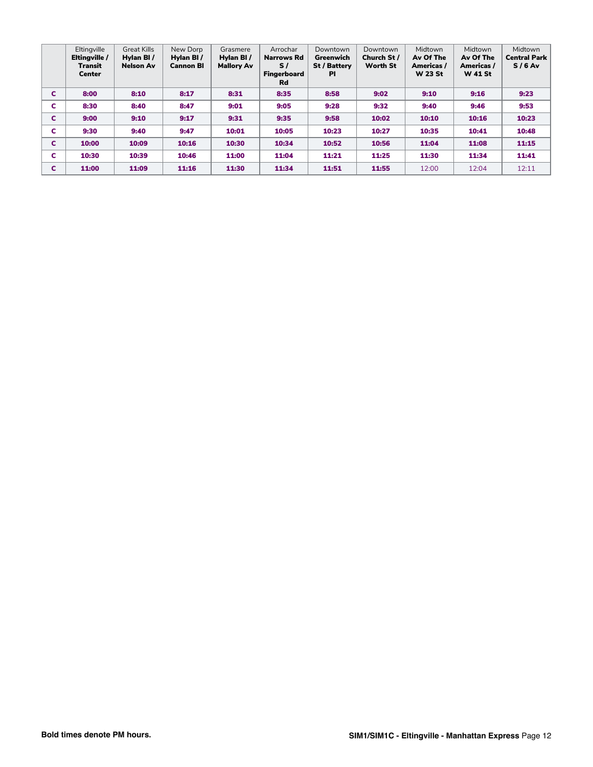|   | Eltingville<br>Eltingville /<br>Transit<br><b>Center</b> | <b>Great Kills</b><br>Hylan BI/<br><b>Nelson Av</b> | New Dorp<br>Hylan BI/<br><b>Cannon BI</b> | Grasmere<br>Hylan BI/<br><b>Mallory Av</b> | Arrochar<br><b>Narrows Rd</b><br>$\mathbf{s}$ /<br><b>Fingerboard</b><br><b>Rd</b> | Downtown<br>Greenwich<br>St / Battery<br>ΡI | Downtown<br>Church St /<br><b>Worth St</b> | Midtown<br>Av Of The<br>Americas /<br><b>W 23 St</b> | Midtown<br>Av Of The<br>Americas /<br><b>W</b> 41 St | Midtown<br><b>Central Park</b><br>$S/6$ Av |
|---|----------------------------------------------------------|-----------------------------------------------------|-------------------------------------------|--------------------------------------------|------------------------------------------------------------------------------------|---------------------------------------------|--------------------------------------------|------------------------------------------------------|------------------------------------------------------|--------------------------------------------|
| C | 8:00                                                     | 8:10                                                | 8:17                                      | 8:31                                       | 8:35                                                                               | 8:58                                        | 9:02                                       | 9:10                                                 | 9:16                                                 | 9:23                                       |
| c | 8:30                                                     | 8:40                                                | 8:47                                      | 9:01                                       | 9:05                                                                               | 9:28                                        | 9:32                                       | 9:40                                                 | 9:46                                                 | 9:53                                       |
| C | 9:00                                                     | 9:10                                                | 9:17                                      | 9:31                                       | 9:35                                                                               | 9:58                                        | 10:02                                      | 10:10                                                | 10:16                                                | 10:23                                      |
| c | 9:30                                                     | 9:40                                                | 9:47                                      | 10:01                                      | 10:05                                                                              | 10:23                                       | 10:27                                      | 10:35                                                | 10:41                                                | 10:48                                      |
| c | 10:00                                                    | 10:09                                               | 10:16                                     | 10:30                                      | 10:34                                                                              | 10:52                                       | 10:56                                      | 11:04                                                | 11:08                                                | 11:15                                      |
| c | 10:30                                                    | 10:39                                               | 10:46                                     | 11:00                                      | 11:04                                                                              | 11:21                                       | 11:25                                      | 11:30                                                | 11:34                                                | 11:41                                      |
| C | 11:00                                                    | 11:09                                               | 11:16                                     | 11:30                                      | 11:34                                                                              | 11:51                                       | 11:55                                      | 12:00                                                | 12:04                                                | 12:11                                      |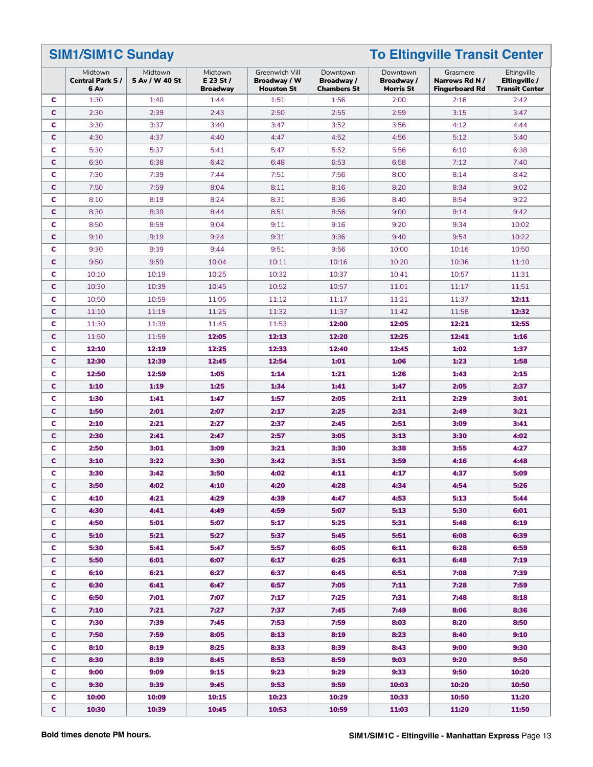**SIM1/SIM1C Sunday To Eltingville Transit Center**

|              | Midtown<br><b>Central Park S/</b><br>6 Av | Midtown<br>5 Av / W 40 St | Midtown<br>$E$ 23 St /<br><b>Broadway</b> | Greenwich Vill<br>Broadway / W<br><b>Houston St</b> | Downtown<br>Broadway/<br><b>Chambers St</b> | Downtown<br>Broadway /<br>Morris St | Grasmere<br>Narrows Rd N/<br><b>Fingerboard Rd</b> | Eltingville<br>Eltingville /<br><b>Transit Center</b> |
|--------------|-------------------------------------------|---------------------------|-------------------------------------------|-----------------------------------------------------|---------------------------------------------|-------------------------------------|----------------------------------------------------|-------------------------------------------------------|
| c            | 1:30                                      | 1:40                      | 1:44                                      | 1:51                                                | 1:56                                        | 2:00                                | 2:16                                               | 2:42                                                  |
| c            | 2:30                                      | 2:39                      | 2:43                                      | 2:50                                                | 2:55                                        | 2:59                                | 3:15                                               | 3:47                                                  |
| c            | 3:30                                      | 3:37                      | 3:40                                      | 3:47                                                | 3:52                                        | 3:56                                | 4:12                                               | 4:44                                                  |
| c            | 4:30                                      | 4:37                      | 4:40                                      | 4:47                                                | 4:52                                        | 4:56                                | 5:12                                               | 5:40                                                  |
| c            | 5:30                                      | 5:37                      | 5:41                                      | 5:47                                                | 5:52                                        | 5:56                                | 6:10                                               | 6:38                                                  |
| C            | 6:30                                      | 6:38                      | 6:42                                      | 6:48                                                | 6:53                                        | 6:58                                | 7:12                                               | 7:40                                                  |
| c            | 7:30                                      | 7:39                      | 7:44                                      | 7:51                                                | 7:56                                        | 8:00                                | 8:14                                               | 8:42                                                  |
| C            | 7:50                                      | 7:59                      | 8:04                                      | 8:11                                                | 8:16                                        | 8:20                                | 8:34                                               | 9:02                                                  |
| c            | 8:10                                      | 8:19                      | 8:24                                      | 8:31                                                | 8:36                                        | 8:40                                | 8:54                                               | 9:22                                                  |
| c            | 8:30                                      | 8:39                      | 8:44                                      | 8:51                                                | 8:56                                        | 9:00                                | 9:14                                               | 9:42                                                  |
| c            | 8:50                                      | 8:59                      | 9:04                                      | 9:11                                                | 9:16                                        | 9:20                                | 9:34                                               | 10:02                                                 |
| c            | 9:10                                      | 9:19                      | 9:24                                      | 9:31                                                | 9:36                                        | 9:40                                | 9:54                                               | 10:22                                                 |
| c            | 9:30                                      | 9:39                      | 9:44                                      | 9:51                                                | 9:56                                        | 10:00                               | 10:16                                              | 10:50                                                 |
| c            | 9:50                                      | 9:59                      | 10:04                                     | 10:11                                               | 10:16                                       | 10:20                               | 10:36                                              | 11:10                                                 |
| c            | 10:10                                     | 10:19                     | 10:25                                     | 10:32                                               | 10:37                                       | 10:41                               | 10:57                                              | 11:31                                                 |
| c            | 10:30                                     | 10:39                     | 10:45                                     | 10:52                                               | 10:57                                       | 11:01                               | 11:17                                              | 11:51                                                 |
| c            | 10:50                                     | 10:59                     | 11:05                                     | 11:12                                               | 11:17                                       | 11:21                               | 11:37                                              | 12:11                                                 |
| c            | 11:10                                     | 11:19                     | 11:25                                     | 11:32                                               | 11:37                                       | 11:42                               | 11:58                                              | 12:32                                                 |
| c            | 11:30                                     | 11:39                     | 11:45                                     | 11:53                                               | 12:00                                       | 12:05                               | 12:21                                              | 12:55                                                 |
| C            | 11:50                                     | 11:59                     | 12:05                                     | 12:13                                               | 12:20                                       | 12:25                               | 12:41                                              | 1:16                                                  |
| c            | 12:10                                     | 12:19                     | 12:25                                     | 12:33                                               | 12:40                                       | 12:45                               | 1:02                                               | 1:37                                                  |
| c            | 12:30                                     | 12:39                     | 12:45                                     | 12:54                                               | 1:01                                        | 1:06                                | 1:23                                               | 1:58                                                  |
| c            | 12:50                                     | 12:59                     | 1:05                                      | 1:14                                                | 1:21                                        | 1:26                                | 1:43                                               | 2:15                                                  |
| c            | 1:10                                      | 1:19                      | 1:25                                      | 1:34                                                | 1:41                                        | 1:47                                | 2:05                                               | 2:37                                                  |
| c            | 1:30                                      | 1:41                      | 1:47                                      | 1:57                                                | 2:05                                        | 2:11                                | 2:29                                               | 3:01                                                  |
| c            | 1:50                                      | 2:01                      | 2:07                                      | 2:17                                                | 2:25                                        | 2:31                                | 2:49                                               | 3:21                                                  |
| c            | 2:10                                      | 2:21                      | 2:27                                      | 2:37                                                | 2:45                                        | 2:51                                | 3:09                                               | 3:41                                                  |
| c            | 2:30                                      | 2:41                      | 2:47                                      | 2:57                                                | 3:05                                        | 3:13                                | 3:30                                               | 4:02                                                  |
| c            | 2:50                                      | 3:01                      | 3:09                                      | 3:21                                                | 3:30                                        | 3:38                                | 3:55                                               | 4:27                                                  |
| c            | 3:10                                      | 3:22                      | 3:30                                      | 3:42                                                | 3:51                                        | 3:59                                | 4:16                                               | 4:48                                                  |
| c            | 3:30                                      | 3:42                      | 3:50                                      | 4:02                                                | 4:11                                        | 4:17                                | 4:37                                               | 5:09                                                  |
| c            | 3:50                                      | 4:02                      | 4:10                                      | 4:20                                                | 4:28                                        | 4:34                                | 4:54                                               | 5:26                                                  |
| C            | 4:10                                      | 4:21                      | 4:29                                      | 4:39                                                | 4:47                                        | 4:53                                | 5:13                                               | 5:44                                                  |
| C.           | 4:30                                      | 4:41                      | 4:49                                      | 4:59                                                | 5:07                                        | 5:13                                | 5:30                                               | 6:01                                                  |
| c            | 4:50                                      | 5:01                      | 5:07                                      | 5:17                                                | 5:25                                        | 5:31                                | 5:48                                               | 6:19                                                  |
| C            | 5:10                                      | 5:21                      | 5:27                                      | 5:37                                                | 5:45                                        | 5:51                                | 6:08                                               | 6:39                                                  |
| c            | 5:30                                      | 5:41                      | 5:47                                      | 5:57                                                | 6:05                                        | 6:11                                | 6:28                                               | 6:59                                                  |
| C            | 5:50                                      | 6:01                      | 6:07                                      | 6:17                                                | 6:25                                        | 6:31                                | 6:48                                               | 7:19                                                  |
| c            | 6:10                                      | 6:21                      | 6:27                                      | 6:37                                                | 6:45                                        | 6:51                                | 7:08                                               | 7:39                                                  |
| C            | 6:30                                      | 6:41                      | 6:47                                      | 6:57                                                | 7:05                                        | 7:11                                | 7:28                                               | 7:59                                                  |
| C            | 6:50                                      | 7:01                      | 7:07                                      | 7:17                                                | 7:25                                        | 7:31                                | 7:48                                               | 8:18                                                  |
| C            | 7:10                                      | 7:21                      | 7:27                                      | 7:37                                                | 7:45                                        | 7:49                                | 8:06                                               | 8:36                                                  |
| C            | 7:30                                      | 7:39                      | 7:45                                      | 7:53                                                | 7:59                                        | 8:03                                | 8:20                                               | 8:50                                                  |
| C            | 7:50                                      | 7:59                      | 8:05                                      | 8:13                                                | 8:19                                        | 8:23                                | 8:40                                               | 9:10                                                  |
| C            | 8:10                                      | 8:19                      | 8:25                                      | 8:33                                                | 8:39                                        | 8:43                                | 9:00                                               | 9:30                                                  |
| C            | 8:30                                      | 8:39                      | 8:45                                      | 8:53                                                | 8:59                                        | 9:03                                | 9:20                                               | 9:50                                                  |
| c            | 9:00                                      | 9:09                      | 9:15                                      | 9:23                                                | 9:29                                        | 9:33                                | 9:50                                               | 10:20                                                 |
| C            | 9:30                                      | 9:39                      | 9:45                                      | 9:53                                                | 9:59                                        | 10:03                               | 10:20                                              | 10:50                                                 |
| C            | 10:00                                     | 10:09                     | 10:15                                     | 10:23                                               | 10:29                                       | 10:33                               | 10:50                                              | 11:20                                                 |
| $\mathbf{C}$ | 10:30                                     | 10:39                     | 10:45                                     | 10:53                                               | 10:59                                       | 11:03                               | 11:20                                              | 11:50                                                 |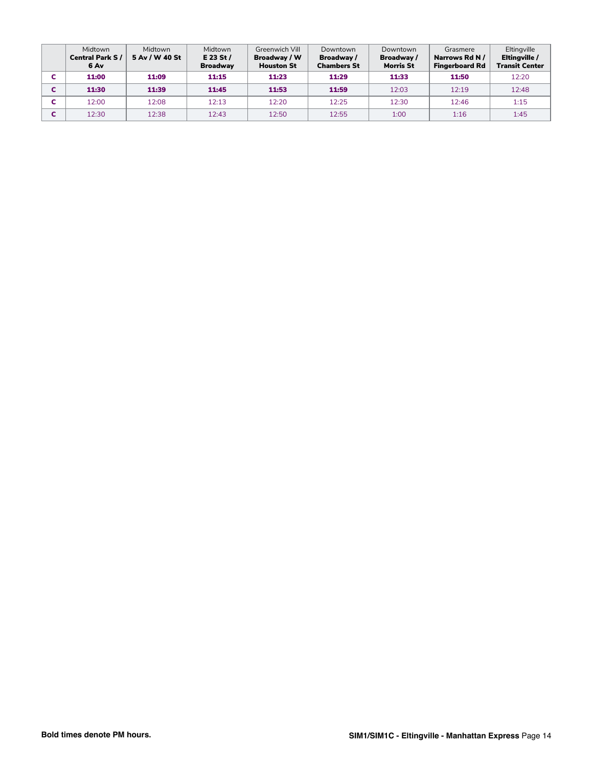| Midtown<br><b>Central Park S/</b><br>6 Av | Midtown<br>5 Av / W 40 St | Midtown<br>$E$ 23 St /<br><b>Broadway</b> | Greenwich Vill<br>Broadway / W<br><b>Houston St</b> | Downtown<br>Broadway /<br><b>Chambers St</b> | Downtown<br>Broadway /<br><b>Morris St</b> | Grasmere<br>Narrows Rd N /<br><b>Fingerboard Rd</b> | Eltingville<br>Eltingville /<br><b>Transit Center</b> |
|-------------------------------------------|---------------------------|-------------------------------------------|-----------------------------------------------------|----------------------------------------------|--------------------------------------------|-----------------------------------------------------|-------------------------------------------------------|
| 11:00                                     | 11:09                     | 11:15                                     | 11:23                                               | 11:29                                        | 11:33                                      | 11:50                                               | 12:20                                                 |
| 11:30                                     | 11:39                     | 11:45                                     | 11:53                                               | 11:59                                        | 12:03                                      | 12:19                                               | 12:48                                                 |
| 12:00                                     | 12:08                     | 12:13                                     | 12:20                                               | 12:25                                        | 12:30                                      | 12:46                                               | 1:15                                                  |
| 12:30                                     | 12:38                     | 12:43                                     | 12:50                                               | 12:55                                        | 1:00                                       | 1:16                                                | 1:45                                                  |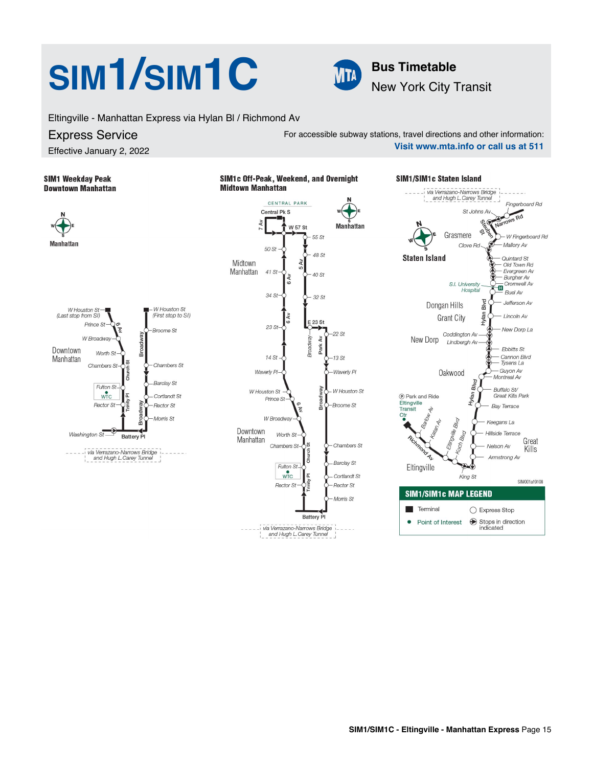# **SIM<sup>1</sup>/SIM<sup>1</sup>C Bus Timetable**



For accessible subway stations, travel directions and other information:

New York City Transit

Eltingville - Manhattan Express via Hylan Bl / Richmond Av

## Express Service

Effective January 2, 2022

## **SIM1 Weekday Peak Downtown Manhattan**







**Visit www.mta.info or call us at 511**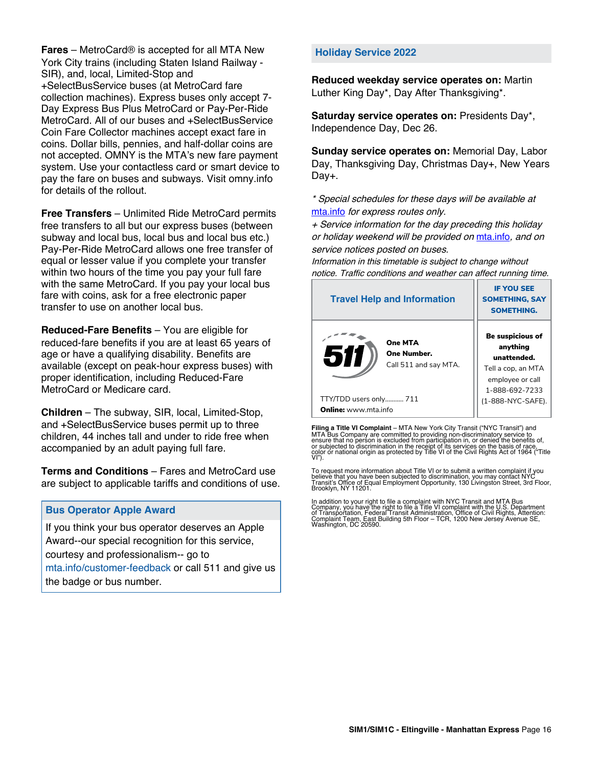**Fares** – MetroCard® is accepted for all MTA New York City trains (including Staten Island Railway - SIR), and, local, Limited-Stop and +SelectBusService buses (at MetroCard fare collection machines). Express buses only accept 7- Day Express Bus Plus MetroCard or Pay-Per-Ride MetroCard. All of our buses and +SelectBusService Coin Fare Collector machines accept exact fare in coins. Dollar bills, pennies, and half-dollar coins are not accepted. OMNY is the MTA's new fare payment system. Use your contactless card or smart device to pay the fare on buses and subways. Visit omny.info for details of the rollout.

**Free Transfers** – Unlimited Ride MetroCard permits free transfers to all but our express buses (between subway and local bus, local bus and local bus etc.) Pay-Per-Ride MetroCard allows one free transfer of equal or lesser value if you complete your transfer within two hours of the time you pay your full fare with the same MetroCard. If you pay your local bus fare with coins, ask for a free electronic paper transfer to use on another local bus.

**Reduced-Fare Benefits** – You are eligible for reduced-fare benefits if you are at least 65 years of age or have a qualifying disability. Benefits are available (except on peak-hour express buses) with proper identification, including Reduced-Fare MetroCard or Medicare card.

**Children** – The subway, SIR, local, Limited-Stop, and +SelectBusService buses permit up to three children, 44 inches tall and under to ride free when accompanied by an adult paying full fare.

**Terms and Conditions** – Fares and MetroCard use are subject to applicable tariffs and conditions of use.

### **Bus Operator Apple Award**

If you think your bus operator deserves an Apple Award--our special recognition for this service, courtesy and professionalism-- go to mta.info/customer-feedback or call 511 and give us the badge or bus number.

### **Holiday Service 2022**

**Reduced weekday service operates on:** Martin Luther King Day\*, Day After Thanksgiving\*.

**Saturday service operates on:** Presidents Day\*, Independence Day, Dec 26.

**Sunday service operates on:** Memorial Day, Labor Day, Thanksgiving Day, Christmas Day+, New Years Day+.

\* Special schedules for these days will be available at [mta.info](https://new.mta.info/) for express routes only.

+ Service information for the day preceding this holiday or holiday weekend will be provided on [mta.info](https://new.mta.info/), and on service notices posted on buses.

Information in this timetable is subject to change without notice. Traffic conditions and weather can affect running time.

| <b>Travel Help and Information</b>                     | <b>IF YOU SEE</b><br><b>SOMETHING, SAY</b><br><b>SOMETHING.</b>                                                |  |  |
|--------------------------------------------------------|----------------------------------------------------------------------------------------------------------------|--|--|
| One MTA<br>511<br>One Number.<br>Call 511 and say MTA. | <b>Be suspicious of</b><br>anything<br>unattended.<br>Tell a cop, an MTA<br>employee or call<br>1-888-692-7233 |  |  |
| TTY/TDD users only 711                                 | (1-888-NYC-SAFE).                                                                                              |  |  |
| <b>Online:</b> www.mta.info                            |                                                                                                                |  |  |

**Filing a Title VI Complaint** – MTA New York City Transit ("NYC Transit") and<br>MTA Bus Company are committed to providing non-discriminatory service to<br>ensure that no person is excluded from participation in, or denied the

To request more information about Title VI or to submit a written complaint if you believe that you have been subjected to discrimination, you may contact NYC<br>Transit's Office of Equal Employment Opportunity, 130 Livingston Street, 3rd Floor,<br>Brooklyn, NY 11201.

In addition to your right to file a complaint with NYC Transit and MTA Bus<br>Company, you have the right to file a Title VI complaint with the U.S. Department<br>of Transportation, Federal Transit Administration, Office of Civi